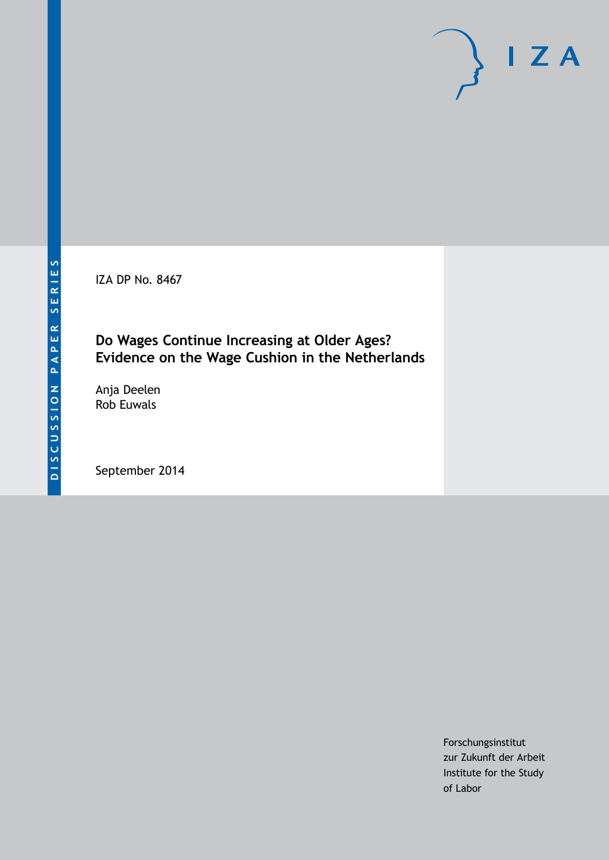IZA DP No. 8467

# **Do Wages Continue Increasing at Older Ages? Evidence on the Wage Cushion in the Netherlands**

Anja Deelen Rob Euwals

September 2014

Forschungsinstitut zur Zukunft der Arbeit Institute for the Study of Labor

 $I Z A$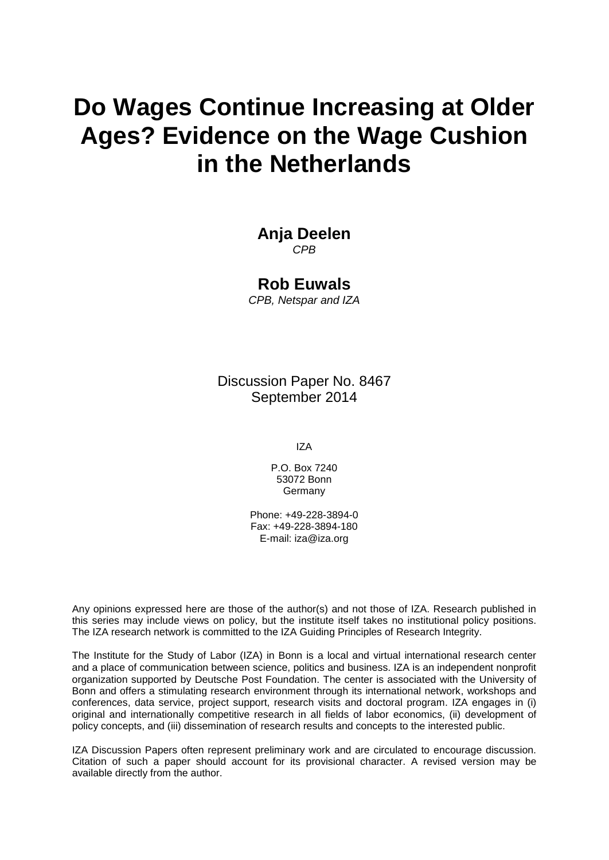# **Do Wages Continue Increasing at Older Ages? Evidence on the Wage Cushion in the Netherlands**

### **Anja Deelen** *CPB*

# **Rob Euwals**

*CPB, Netspar and IZA*

Discussion Paper No. 8467 September 2014

IZA

P.O. Box 7240 53072 Bonn **Germany** 

Phone: +49-228-3894-0 Fax: +49-228-3894-180 E-mail: [iza@iza.org](mailto:iza@iza.org)

Any opinions expressed here are those of the author(s) and not those of IZA. Research published in this series may include views on policy, but the institute itself takes no institutional policy positions. The IZA research network is committed to the IZA Guiding Principles of Research Integrity.

The Institute for the Study of Labor (IZA) in Bonn is a local and virtual international research center and a place of communication between science, politics and business. IZA is an independent nonprofit organization supported by Deutsche Post Foundation. The center is associated with the University of Bonn and offers a stimulating research environment through its international network, workshops and conferences, data service, project support, research visits and doctoral program. IZA engages in (i) original and internationally competitive research in all fields of labor economics, (ii) development of policy concepts, and (iii) dissemination of research results and concepts to the interested public.

<span id="page-1-0"></span>IZA Discussion Papers often represent preliminary work and are circulated to encourage discussion. Citation of such a paper should account for its provisional character. A revised version may be available directly from the author.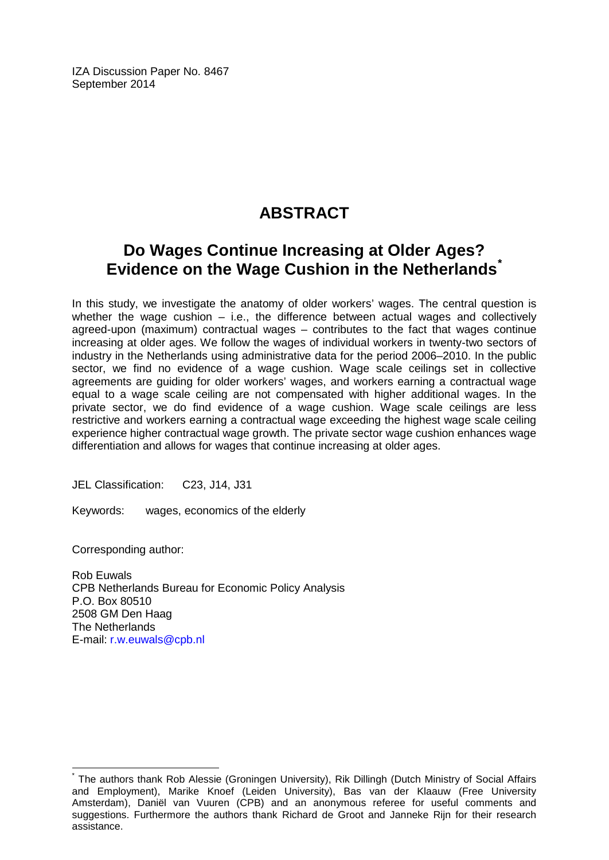IZA Discussion Paper No. 8467 September 2014

# **ABSTRACT**

# **Do Wages Continue Increasing at Older Ages? Evidence on the Wage Cushion in the Netherlands[\\*](#page-1-0)**

In this study, we investigate the anatomy of older workers' wages. The central question is whether the wage cushion  $-$  i.e., the difference between actual wages and collectively agreed-upon (maximum) contractual wages – contributes to the fact that wages continue increasing at older ages. We follow the wages of individual workers in twenty-two sectors of industry in the Netherlands using administrative data for the period 2006–2010. In the public sector, we find no evidence of a wage cushion. Wage scale ceilings set in collective agreements are guiding for older workers' wages, and workers earning a contractual wage equal to a wage scale ceiling are not compensated with higher additional wages. In the private sector, we do find evidence of a wage cushion. Wage scale ceilings are less restrictive and workers earning a contractual wage exceeding the highest wage scale ceiling experience higher contractual wage growth. The private sector wage cushion enhances wage differentiation and allows for wages that continue increasing at older ages.

JEL Classification: C23, J14, J31

Keywords: wages, economics of the elderly

Corresponding author:

Rob Euwals CPB Netherlands Bureau for Economic Policy Analysis P.O. Box 80510 2508 GM Den Haag The Netherlands E-mail: [r.w.euwals@cpb.nl](mailto:r.w.euwals@cpb.nl)

\* The authors thank Rob Alessie (Groningen University), Rik Dillingh (Dutch Ministry of Social Affairs and Employment), Marike Knoef (Leiden University), Bas van der Klaauw (Free University Amsterdam), Daniël van Vuuren (CPB) and an anonymous referee for useful comments and suggestions. Furthermore the authors thank Richard de Groot and Janneke Rijn for their research assistance.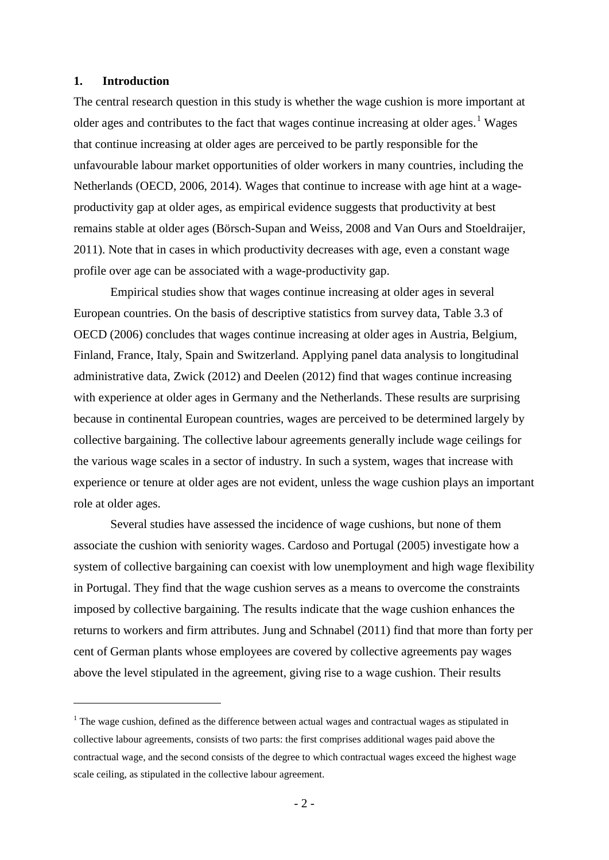#### **1. Introduction**

<span id="page-3-0"></span>-

The central research question in this study is whether the wage cushion is more important at older ages and contributes to the fact that wages continue increasing at older ages.<sup>[1](#page-38-0)</sup> Wages that continue increasing at older ages are perceived to be partly responsible for the unfavourable labour market opportunities of older workers in many countries, including the Netherlands (OECD, 2006, 2014). Wages that continue to increase with age hint at a wageproductivity gap at older ages, as empirical evidence suggests that productivity at best remains stable at older ages (Börsch-Supan and Weiss, 2008 and Van Ours and Stoeldraijer, 2011). Note that in cases in which productivity decreases with age, even a constant wage profile over age can be associated with a wage-productivity gap.

Empirical studies show that wages continue increasing at older ages in several European countries. On the basis of descriptive statistics from survey data, Table 3.3 of OECD (2006) concludes that wages continue increasing at older ages in Austria, Belgium, Finland, France, Italy, Spain and Switzerland. Applying panel data analysis to longitudinal administrative data, Zwick (2012) and Deelen (2012) find that wages continue increasing with experience at older ages in Germany and the Netherlands. These results are surprising because in continental European countries, wages are perceived to be determined largely by collective bargaining. The collective labour agreements generally include wage ceilings for the various wage scales in a sector of industry. In such a system, wages that increase with experience or tenure at older ages are not evident, unless the wage cushion plays an important role at older ages.

Several studies have assessed the incidence of wage cushions, but none of them associate the cushion with seniority wages. Cardoso and Portugal (2005) investigate how a system of collective bargaining can coexist with low unemployment and high wage flexibility in Portugal. They find that the wage cushion serves as a means to overcome the constraints imposed by collective bargaining. The results indicate that the wage cushion enhances the returns to workers and firm attributes. Jung and Schnabel (2011) find that more than forty per cent of German plants whose employees are covered by collective agreements pay wages above the level stipulated in the agreement, giving rise to a wage cushion. Their results

 $1$  The wage cushion, defined as the difference between actual wages and contractual wages as stipulated in collective labour agreements, consists of two parts: the first comprises additional wages paid above the contractual wage, and the second consists of the degree to which contractual wages exceed the highest wage scale ceiling, as stipulated in the collective labour agreement.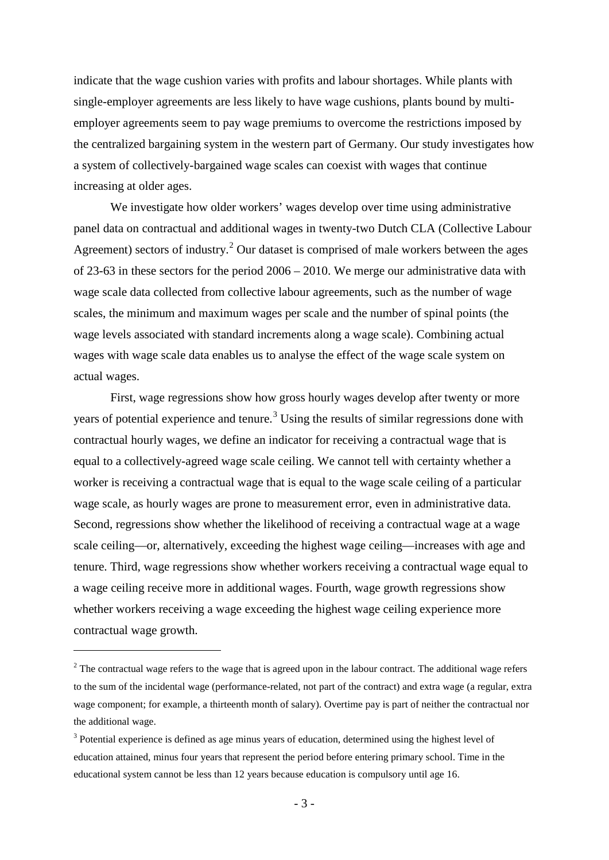indicate that the wage cushion varies with profits and labour shortages. While plants with single-employer agreements are less likely to have wage cushions, plants bound by multiemployer agreements seem to pay wage premiums to overcome the restrictions imposed by the centralized bargaining system in the western part of Germany. Our study investigates how a system of collectively-bargained wage scales can coexist with wages that continue increasing at older ages.

We investigate how older workers' wages develop over time using administrative panel data on contractual and additional wages in twenty-two Dutch CLA (Collective Labour Agreement) sectors of industry.<sup>[2](#page-3-0)</sup> Our dataset is comprised of male workers between the ages of 23-63 in these sectors for the period 2006 – 2010. We merge our administrative data with wage scale data collected from collective labour agreements, such as the number of wage scales, the minimum and maximum wages per scale and the number of spinal points (the wage levels associated with standard increments along a wage scale). Combining actual wages with wage scale data enables us to analyse the effect of the wage scale system on actual wages.

First, wage regressions show how gross hourly wages develop after twenty or more years of potential experience and tenure.<sup>[3](#page-4-0)</sup> Using the results of similar regressions done with contractual hourly wages, we define an indicator for receiving a contractual wage that is equal to a collectively-agreed wage scale ceiling. We cannot tell with certainty whether a worker is receiving a contractual wage that is equal to the wage scale ceiling of a particular wage scale, as hourly wages are prone to measurement error, even in administrative data. Second, regressions show whether the likelihood of receiving a contractual wage at a wage scale ceiling—or, alternatively, exceeding the highest wage ceiling—increases with age and tenure. Third, wage regressions show whether workers receiving a contractual wage equal to a wage ceiling receive more in additional wages. Fourth, wage growth regressions show whether workers receiving a wage exceeding the highest wage ceiling experience more contractual wage growth.

-

 $2$  The contractual wage refers to the wage that is agreed upon in the labour contract. The additional wage refers to the sum of the incidental wage (performance-related, not part of the contract) and extra wage (a regular, extra wage component; for example, a thirteenth month of salary). Overtime pay is part of neither the contractual nor the additional wage.

<span id="page-4-1"></span><span id="page-4-0"></span><sup>&</sup>lt;sup>3</sup> Potential experience is defined as age minus years of education, determined using the highest level of education attained, minus four years that represent the period before entering primary school. Time in the educational system cannot be less than 12 years because education is compulsory until age 16.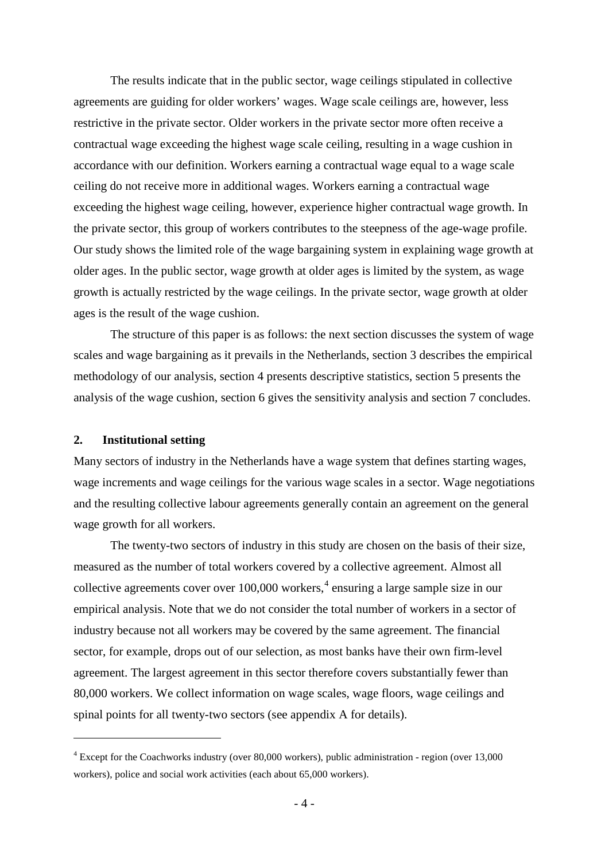The results indicate that in the public sector, wage ceilings stipulated in collective agreements are guiding for older workers' wages. Wage scale ceilings are, however, less restrictive in the private sector. Older workers in the private sector more often receive a contractual wage exceeding the highest wage scale ceiling, resulting in a wage cushion in accordance with our definition. Workers earning a contractual wage equal to a wage scale ceiling do not receive more in additional wages. Workers earning a contractual wage exceeding the highest wage ceiling, however, experience higher contractual wage growth. In the private sector, this group of workers contributes to the steepness of the age-wage profile. Our study shows the limited role of the wage bargaining system in explaining wage growth at older ages. In the public sector, wage growth at older ages is limited by the system, as wage growth is actually restricted by the wage ceilings. In the private sector, wage growth at older ages is the result of the wage cushion.

The structure of this paper is as follows: the next section discusses the system of wage scales and wage bargaining as it prevails in the Netherlands, section 3 describes the empirical methodology of our analysis, section 4 presents descriptive statistics, section 5 presents the analysis of the wage cushion, section 6 gives the sensitivity analysis and section 7 concludes.

#### **2. Institutional setting**

-

Many sectors of industry in the Netherlands have a wage system that defines starting wages, wage increments and wage ceilings for the various wage scales in a sector. Wage negotiations and the resulting collective labour agreements generally contain an agreement on the general wage growth for all workers.

The twenty-two sectors of industry in this study are chosen on the basis of their size, measured as the number of total workers covered by a collective agreement. Almost all collective agreements cover over  $100,000$  workers,<sup>[4](#page-4-1)</sup> ensuring a large sample size in our empirical analysis. Note that we do not consider the total number of workers in a sector of industry because not all workers may be covered by the same agreement. The financial sector, for example, drops out of our selection, as most banks have their own firm-level agreement. The largest agreement in this sector therefore covers substantially fewer than 80,000 workers. We collect information on wage scales, wage floors, wage ceilings and spinal points for all twenty-two sectors (see appendix A for details).

<span id="page-5-0"></span><sup>4</sup> Except for the Coachworks industry (over 80,000 workers), public administration - region (over 13,000 workers), police and social work activities (each about 65,000 workers).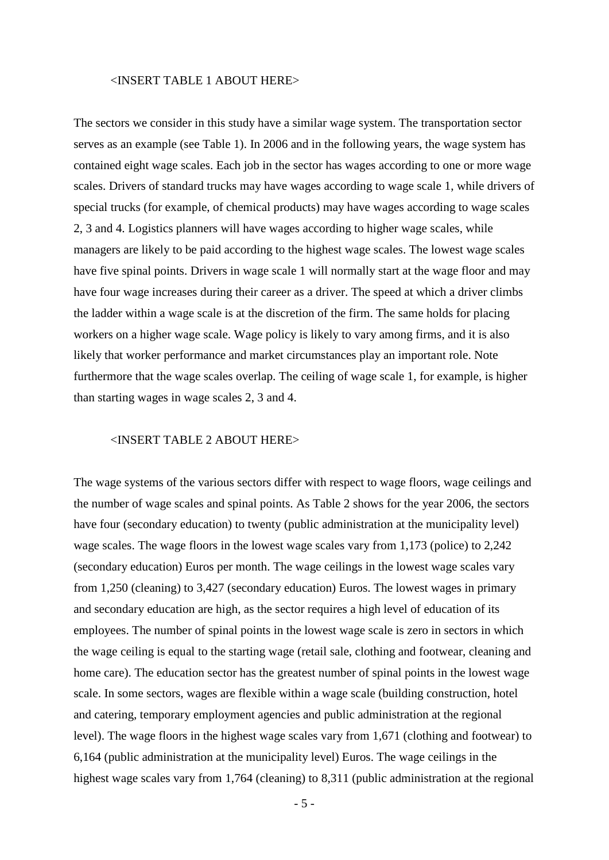#### <INSERT TABLE 1 ABOUT HERE>

The sectors we consider in this study have a similar wage system. The transportation sector serves as an example (see Table 1). In 2006 and in the following years, the wage system has contained eight wage scales. Each job in the sector has wages according to one or more wage scales. Drivers of standard trucks may have wages according to wage scale 1, while drivers of special trucks (for example, of chemical products) may have wages according to wage scales 2, 3 and 4. Logistics planners will have wages according to higher wage scales, while managers are likely to be paid according to the highest wage scales. The lowest wage scales have five spinal points. Drivers in wage scale 1 will normally start at the wage floor and may have four wage increases during their career as a driver. The speed at which a driver climbs the ladder within a wage scale is at the discretion of the firm. The same holds for placing workers on a higher wage scale. Wage policy is likely to vary among firms, and it is also likely that worker performance and market circumstances play an important role. Note furthermore that the wage scales overlap. The ceiling of wage scale 1, for example, is higher than starting wages in wage scales 2, 3 and 4.

#### <INSERT TABLE 2 ABOUT HERE>

The wage systems of the various sectors differ with respect to wage floors, wage ceilings and the number of wage scales and spinal points. As Table 2 shows for the year 2006, the sectors have four (secondary education) to twenty (public administration at the municipality level) wage scales. The wage floors in the lowest wage scales vary from 1,173 (police) to 2,242 (secondary education) Euros per month. The wage ceilings in the lowest wage scales vary from 1,250 (cleaning) to 3,427 (secondary education) Euros. The lowest wages in primary and secondary education are high, as the sector requires a high level of education of its employees. The number of spinal points in the lowest wage scale is zero in sectors in which the wage ceiling is equal to the starting wage (retail sale, clothing and footwear, cleaning and home care). The education sector has the greatest number of spinal points in the lowest wage scale. In some sectors, wages are flexible within a wage scale (building construction, hotel and catering, temporary employment agencies and public administration at the regional level). The wage floors in the highest wage scales vary from 1,671 (clothing and footwear) to 6,164 (public administration at the municipality level) Euros. The wage ceilings in the highest wage scales vary from 1,764 (cleaning) to 8,311 (public administration at the regional

- 5 -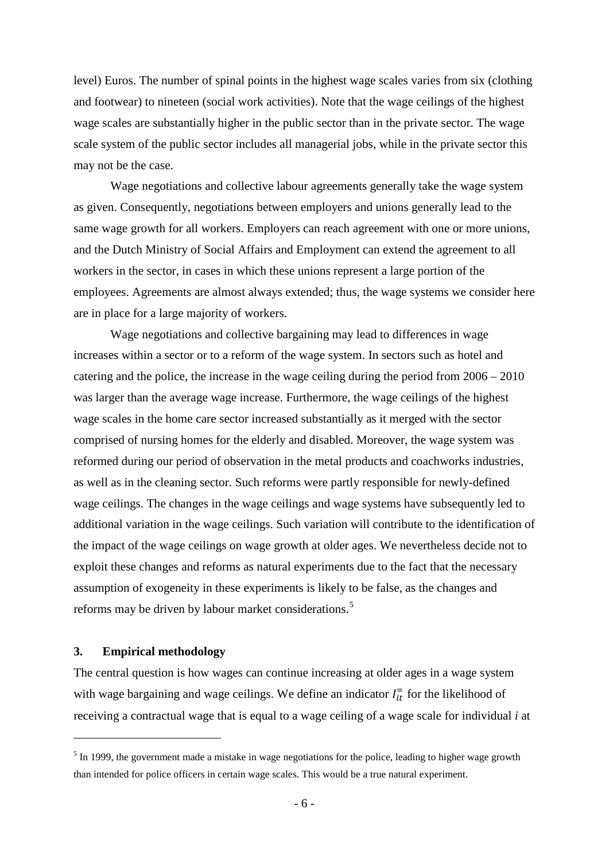level) Euros. The number of spinal points in the highest wage scales varies from six (clothing and footwear) to nineteen (social work activities). Note that the wage ceilings of the highest wage scales are substantially higher in the public sector than in the private sector. The wage scale system of the public sector includes all managerial jobs, while in the private sector this may not be the case.

Wage negotiations and collective labour agreements generally take the wage system as given. Consequently, negotiations between employers and unions generally lead to the same wage growth for all workers. Employers can reach agreement with one or more unions, and the Dutch Ministry of Social Affairs and Employment can extend the agreement to all workers in the sector, in cases in which these unions represent a large portion of the employees. Agreements are almost always extended; thus, the wage systems we consider here are in place for a large majority of workers.

Wage negotiations and collective bargaining may lead to differences in wage increases within a sector or to a reform of the wage system. In sectors such as hotel and catering and the police, the increase in the wage ceiling during the period from 2006 – 2010 was larger than the average wage increase. Furthermore, the wage ceilings of the highest wage scales in the home care sector increased substantially as it merged with the sector comprised of nursing homes for the elderly and disabled. Moreover, the wage system was reformed during our period of observation in the metal products and coachworks industries, as well as in the cleaning sector. Such reforms were partly responsible for newly-defined wage ceilings. The changes in the wage ceilings and wage systems have subsequently led to additional variation in the wage ceilings. Such variation will contribute to the identification of the impact of the wage ceilings on wage growth at older ages. We nevertheless decide not to exploit these changes and reforms as natural experiments due to the fact that the necessary assumption of exogeneity in these experiments is likely to be false, as the changes and reforms may be driven by labour market considerations.<sup>[5](#page-5-0)</sup>

#### <span id="page-7-0"></span>**3. Empirical methodology**

-

The central question is how wages can continue increasing at older ages in a wage system with wage bargaining and wage ceilings. We define an indicator  $I_{it}^{\equiv}$  for the likelihood of receiving a contractual wage that is equal to a wage ceiling of a wage scale for individual *i* at

<sup>&</sup>lt;sup>5</sup> In 1999, the government made a mistake in wage negotiations for the police, leading to higher wage growth than intended for police officers in certain wage scales. This would be a true natural experiment.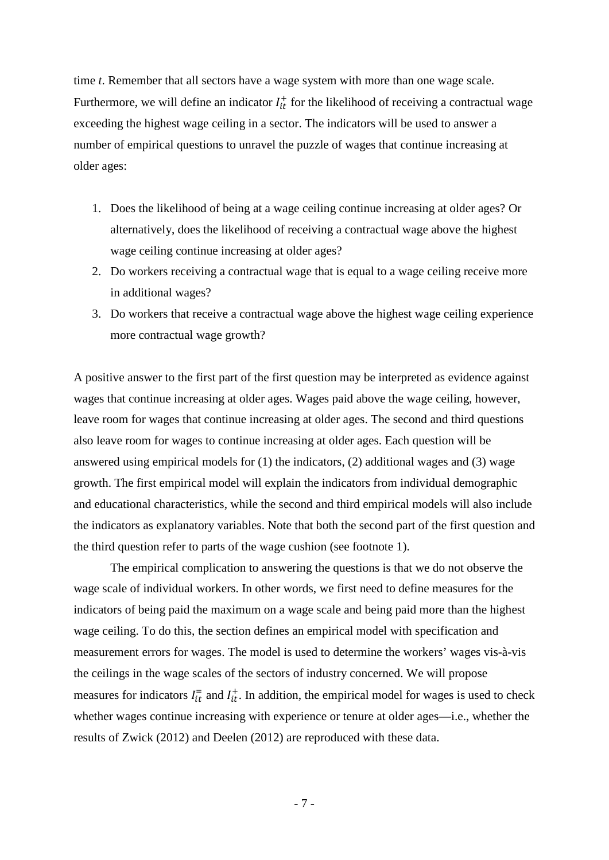time *t*. Remember that all sectors have a wage system with more than one wage scale. Furthermore, we will define an indicator  $I_{it}^{+}$  for the likelihood of receiving a contractual wage exceeding the highest wage ceiling in a sector. The indicators will be used to answer a number of empirical questions to unravel the puzzle of wages that continue increasing at older ages:

- 1. Does the likelihood of being at a wage ceiling continue increasing at older ages? Or alternatively, does the likelihood of receiving a contractual wage above the highest wage ceiling continue increasing at older ages?
- 2. Do workers receiving a contractual wage that is equal to a wage ceiling receive more in additional wages?
- 3. Do workers that receive a contractual wage above the highest wage ceiling experience more contractual wage growth?

A positive answer to the first part of the first question may be interpreted as evidence against wages that continue increasing at older ages. Wages paid above the wage ceiling, however, leave room for wages that continue increasing at older ages. The second and third questions also leave room for wages to continue increasing at older ages. Each question will be answered using empirical models for (1) the indicators, (2) additional wages and (3) wage growth. The first empirical model will explain the indicators from individual demographic and educational characteristics, while the second and third empirical models will also include the indicators as explanatory variables. Note that both the second part of the first question and the third question refer to parts of the wage cushion (see footnote 1).

The empirical complication to answering the questions is that we do not observe the wage scale of individual workers. In other words, we first need to define measures for the indicators of being paid the maximum on a wage scale and being paid more than the highest wage ceiling. To do this, the section defines an empirical model with specification and measurement errors for wages. The model is used to determine the workers' wages vis-à-vis the ceilings in the wage scales of the sectors of industry concerned. We will propose measures for indicators  $I_{it}^{\dagger}$  and  $I_{it}^{+}$ . In addition, the empirical model for wages is used to check whether wages continue increasing with experience or tenure at older ages—i.e., whether the results of Zwick (2012) and Deelen (2012) are reproduced with these data.

- 7 -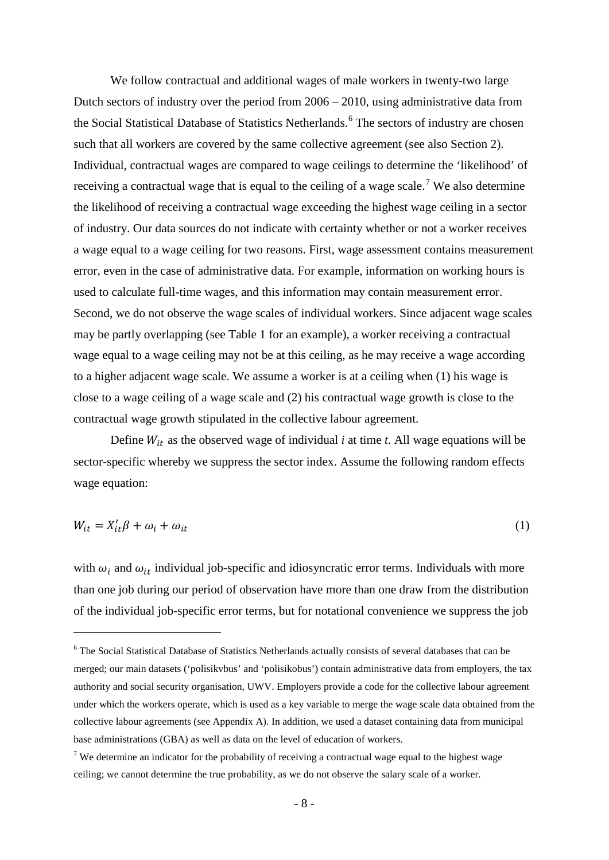We follow contractual and additional wages of male workers in twenty-two large Dutch sectors of industry over the period from 2006 – 2010, using administrative data from the Social Statistical Database of Statistics Netherlands.<sup>[6](#page-7-0)</sup> The sectors of industry are chosen such that all workers are covered by the same collective agreement (see also Section 2). Individual, contractual wages are compared to wage ceilings to determine the 'likelihood' of receiving a contractual wage that is equal to the ceiling of a wage scale.<sup>[7](#page-9-0)</sup> We also determine the likelihood of receiving a contractual wage exceeding the highest wage ceiling in a sector of industry. Our data sources do not indicate with certainty whether or not a worker receives a wage equal to a wage ceiling for two reasons. First, wage assessment contains measurement error, even in the case of administrative data. For example, information on working hours is used to calculate full-time wages, and this information may contain measurement error. Second, we do not observe the wage scales of individual workers. Since adjacent wage scales may be partly overlapping (see Table 1 for an example), a worker receiving a contractual wage equal to a wage ceiling may not be at this ceiling, as he may receive a wage according to a higher adjacent wage scale. We assume a worker is at a ceiling when (1) his wage is close to a wage ceiling of a wage scale and (2) his contractual wage growth is close to the contractual wage growth stipulated in the collective labour agreement.

Define  $W_{it}$  as the observed wage of individual *i* at time *t*. All wage equations will be sector-specific whereby we suppress the sector index. Assume the following random effects wage equation:

$$
W_{it} = X'_{it} \beta + \omega_i + \omega_{it} \tag{1}
$$

with  $\omega_i$  and  $\omega_{it}$  individual job-specific and idiosyncratic error terms. Individuals with more than one job during our period of observation have more than one draw from the distribution of the individual job-specific error terms, but for notational convenience we suppress the job

-

<sup>6</sup> The Social Statistical Database of Statistics Netherlands actually consists of several databases that can be merged; our main datasets ('polisikvbus' and 'polisikobus') contain administrative data from employers, the tax authority and social security organisation, UWV. Employers provide a code for the collective labour agreement under which the workers operate, which is used as a key variable to merge the wage scale data obtained from the collective labour agreements (see Appendix A). In addition, we used a dataset containing data from municipal base administrations (GBA) as well as data on the level of education of workers.

<span id="page-9-0"></span><sup>&</sup>lt;sup>7</sup> We determine an indicator for the probability of receiving a contractual wage equal to the highest wage ceiling; we cannot determine the true probability, as we do not observe the salary scale of a worker.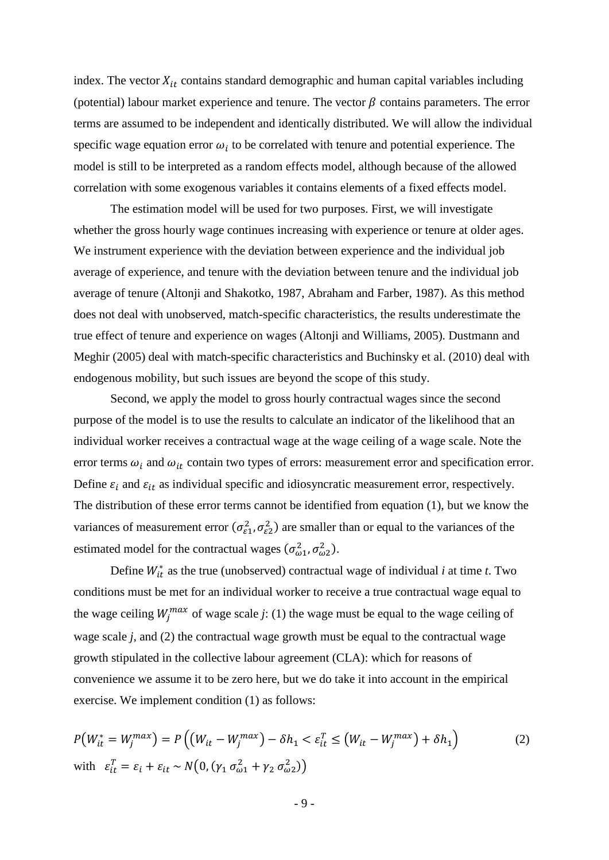index. The vector  $X_{it}$  contains standard demographic and human capital variables including (potential) labour market experience and tenure. The vector  $\beta$  contains parameters. The error terms are assumed to be independent and identically distributed. We will allow the individual specific wage equation error  $\omega_i$  to be correlated with tenure and potential experience. The model is still to be interpreted as a random effects model, although because of the allowed correlation with some exogenous variables it contains elements of a fixed effects model.

The estimation model will be used for two purposes. First, we will investigate whether the gross hourly wage continues increasing with experience or tenure at older ages. We instrument experience with the deviation between experience and the individual job average of experience, and tenure with the deviation between tenure and the individual job average of tenure (Altonji and Shakotko, 1987, Abraham and Farber, 1987). As this method does not deal with unobserved, match-specific characteristics, the results underestimate the true effect of tenure and experience on wages (Altonji and Williams, 2005). Dustmann and Meghir (2005) deal with match-specific characteristics and Buchinsky et al. (2010) deal with endogenous mobility, but such issues are beyond the scope of this study.

Second, we apply the model to gross hourly contractual wages since the second purpose of the model is to use the results to calculate an indicator of the likelihood that an individual worker receives a contractual wage at the wage ceiling of a wage scale. Note the error terms  $\omega_i$  and  $\omega_{it}$  contain two types of errors: measurement error and specification error. Define  $\varepsilon_i$  and  $\varepsilon_{it}$  as individual specific and idiosyncratic measurement error, respectively. The distribution of these error terms cannot be identified from equation (1), but we know the variances of measurement error  $(\sigma_{\epsilon_1}^2, \sigma_{\epsilon_2}^2)$  are smaller than or equal to the variances of the estimated model for the contractual wages  $(\sigma_{\omega_1}^2, \sigma_{\omega_2}^2)$ .

Define  $W_{it}^*$  as the true (unobserved) contractual wage of individual *i* at time *t*. Two conditions must be met for an individual worker to receive a true contractual wage equal to the wage ceiling  $W_j^{max}$  of wage scale *j*: (1) the wage must be equal to the wage ceiling of wage scale *j*, and (2) the contractual wage growth must be equal to the contractual wage growth stipulated in the collective labour agreement (CLA): which for reasons of convenience we assume it to be zero here, but we do take it into account in the empirical exercise. We implement condition (1) as follows:

$$
P(W_{it}^* = W_j^{max}) = P\left((W_{it} - W_j^{max}) - \delta h_1 < \varepsilon_{it}^T \le (W_{it} - W_j^{max}) + \delta h_1\right) \tag{2}
$$
\n
$$
\text{with } \varepsilon_{it}^T = \varepsilon_i + \varepsilon_{it} \sim N\big(0, (\gamma_1 \sigma_{\omega 1}^2 + \gamma_2 \sigma_{\omega 2}^2)\big)
$$

- 9 -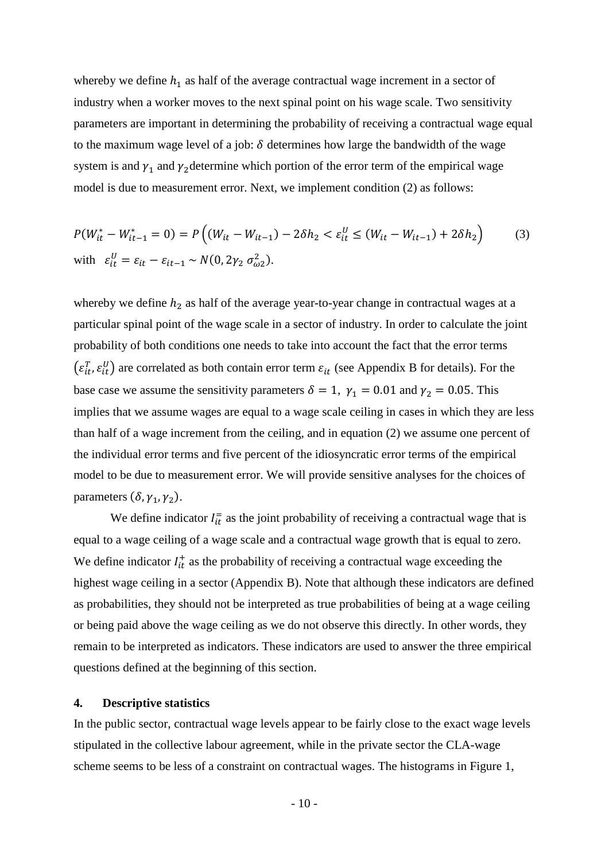whereby we define  $h_1$  as half of the average contractual wage increment in a sector of industry when a worker moves to the next spinal point on his wage scale. Two sensitivity parameters are important in determining the probability of receiving a contractual wage equal to the maximum wage level of a job:  $\delta$  determines how large the bandwidth of the wage system is and  $\gamma_1$  and  $\gamma_2$  determine which portion of the error term of the empirical wage model is due to measurement error. Next, we implement condition (2) as follows:

$$
P(W_{it}^* - W_{it-1}^* = 0) = P\left((W_{it} - W_{it-1}) - 2\delta h_2 < \varepsilon_{it}^U \le (W_{it} - W_{it-1}) + 2\delta h_2\right) \tag{3}
$$
\n
$$
\text{with } \varepsilon_{it}^U = \varepsilon_{it} - \varepsilon_{it-1} \sim N(0, 2\gamma_2 \sigma_{\omega 2}^2).
$$

whereby we define  $h_2$  as half of the average year-to-year change in contractual wages at a particular spinal point of the wage scale in a sector of industry. In order to calculate the joint probability of both conditions one needs to take into account the fact that the error terms  $(\varepsilon_{it}^T, \varepsilon_{it}^U)$  are correlated as both contain error term  $\varepsilon_{it}$  (see Appendix B for details). For the base case we assume the sensitivity parameters  $\delta = 1$ ,  $\gamma_1 = 0.01$  and  $\gamma_2 = 0.05$ . This implies that we assume wages are equal to a wage scale ceiling in cases in which they are less than half of a wage increment from the ceiling, and in equation (2) we assume one percent of the individual error terms and five percent of the idiosyncratic error terms of the empirical model to be due to measurement error. We will provide sensitive analyses for the choices of parameters  $(\delta, \gamma_1, \gamma_2)$ .

We define indicator  $I_{it}^{\equiv}$  as the joint probability of receiving a contractual wage that is equal to a wage ceiling of a wage scale and a contractual wage growth that is equal to zero. We define indicator  $I_{it}^{+}$  as the probability of receiving a contractual wage exceeding the highest wage ceiling in a sector (Appendix B). Note that although these indicators are defined as probabilities, they should not be interpreted as true probabilities of being at a wage ceiling or being paid above the wage ceiling as we do not observe this directly. In other words, they remain to be interpreted as indicators. These indicators are used to answer the three empirical questions defined at the beginning of this section.

#### **4. Descriptive statistics**

In the public sector, contractual wage levels appear to be fairly close to the exact wage levels stipulated in the collective labour agreement, while in the private sector the CLA-wage scheme seems to be less of a constraint on contractual wages. The histograms in Figure 1,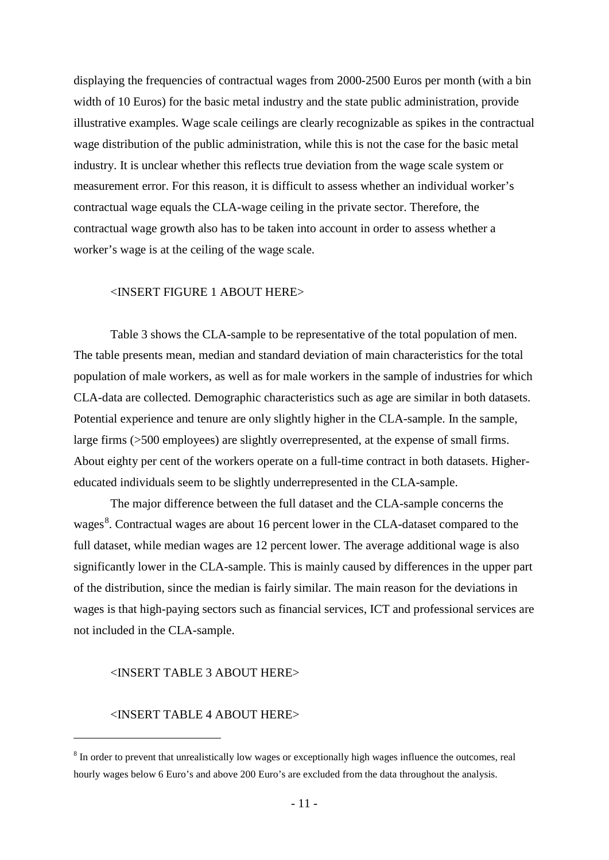displaying the frequencies of contractual wages from 2000-2500 Euros per month (with a bin width of 10 Euros) for the basic metal industry and the state public administration, provide illustrative examples. Wage scale ceilings are clearly recognizable as spikes in the contractual wage distribution of the public administration, while this is not the case for the basic metal industry. It is unclear whether this reflects true deviation from the wage scale system or measurement error. For this reason, it is difficult to assess whether an individual worker's contractual wage equals the CLA-wage ceiling in the private sector. Therefore, the contractual wage growth also has to be taken into account in order to assess whether a worker's wage is at the ceiling of the wage scale.

#### <INSERT FIGURE 1 ABOUT HERE>

Table 3 shows the CLA-sample to be representative of the total population of men. The table presents mean, median and standard deviation of main characteristics for the total population of male workers, as well as for male workers in the sample of industries for which CLA-data are collected. Demographic characteristics such as age are similar in both datasets. Potential experience and tenure are only slightly higher in the CLA-sample. In the sample, large firms (>500 employees) are slightly overrepresented, at the expense of small firms. About eighty per cent of the workers operate on a full-time contract in both datasets. Highereducated individuals seem to be slightly underrepresented in the CLA-sample.

The major difference between the full dataset and the CLA-sample concerns the wages<sup>[8](#page-9-0)</sup>. Contractual wages are about 16 percent lower in the CLA-dataset compared to the full dataset, while median wages are 12 percent lower. The average additional wage is also significantly lower in the CLA-sample. This is mainly caused by differences in the upper part of the distribution, since the median is fairly similar. The main reason for the deviations in wages is that high-paying sectors such as financial services, ICT and professional services are not included in the CLA-sample.

### <INSERT TABLE 3 ABOUT HERE>

#### <INSERT TABLE 4 ABOUT HERE>

<span id="page-12-0"></span>-

<sup>8</sup> In order to prevent that unrealistically low wages or exceptionally high wages influence the outcomes, real hourly wages below 6 Euro's and above 200 Euro's are excluded from the data throughout the analysis.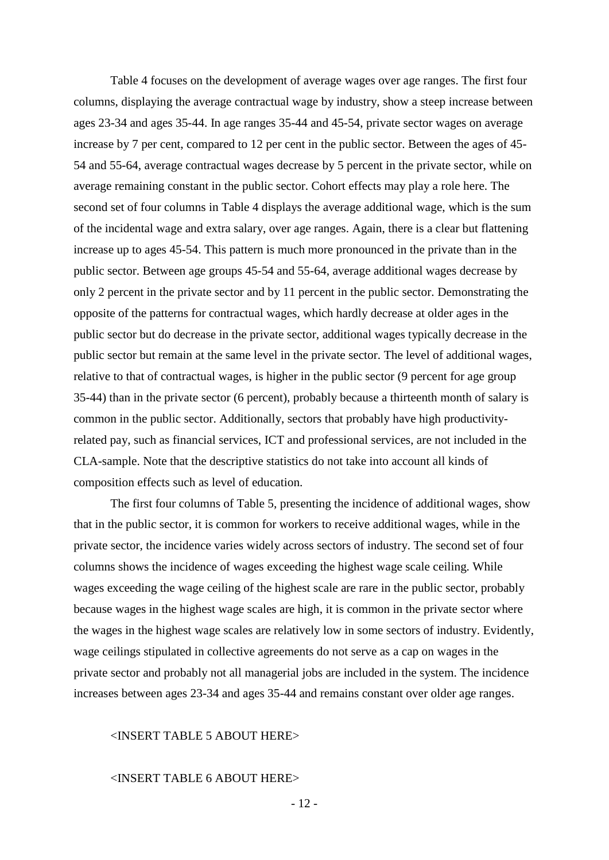Table 4 focuses on the development of average wages over age ranges. The first four columns, displaying the average contractual wage by industry, show a steep increase between ages 23-34 and ages 35-44. In age ranges 35-44 and 45-54, private sector wages on average increase by 7 per cent, compared to 12 per cent in the public sector. Between the ages of 45- 54 and 55-64, average contractual wages decrease by 5 percent in the private sector, while on average remaining constant in the public sector. Cohort effects may play a role here. The second set of four columns in Table 4 displays the average additional wage, which is the sum of the incidental wage and extra salary, over age ranges. Again, there is a clear but flattening increase up to ages 45-54. This pattern is much more pronounced in the private than in the public sector. Between age groups 45-54 and 55-64, average additional wages decrease by only 2 percent in the private sector and by 11 percent in the public sector. Demonstrating the opposite of the patterns for contractual wages, which hardly decrease at older ages in the public sector but do decrease in the private sector, additional wages typically decrease in the public sector but remain at the same level in the private sector. The level of additional wages, relative to that of contractual wages, is higher in the public sector (9 percent for age group 35-44) than in the private sector (6 percent), probably because a thirteenth month of salary is common in the public sector. Additionally, sectors that probably have high productivityrelated pay, such as financial services, ICT and professional services, are not included in the CLA-sample. Note that the descriptive statistics do not take into account all kinds of composition effects such as level of education.

The first four columns of Table 5, presenting the incidence of additional wages, show that in the public sector, it is common for workers to receive additional wages, while in the private sector, the incidence varies widely across sectors of industry. The second set of four columns shows the incidence of wages exceeding the highest wage scale ceiling. While wages exceeding the wage ceiling of the highest scale are rare in the public sector, probably because wages in the highest wage scales are high, it is common in the private sector where the wages in the highest wage scales are relatively low in some sectors of industry. Evidently, wage ceilings stipulated in collective agreements do not serve as a cap on wages in the private sector and probably not all managerial jobs are included in the system. The incidence increases between ages 23-34 and ages 35-44 and remains constant over older age ranges.

#### <INSERT TABLE 5 ABOUT HERE>

#### <INSERT TABLE 6 ABOUT HERE>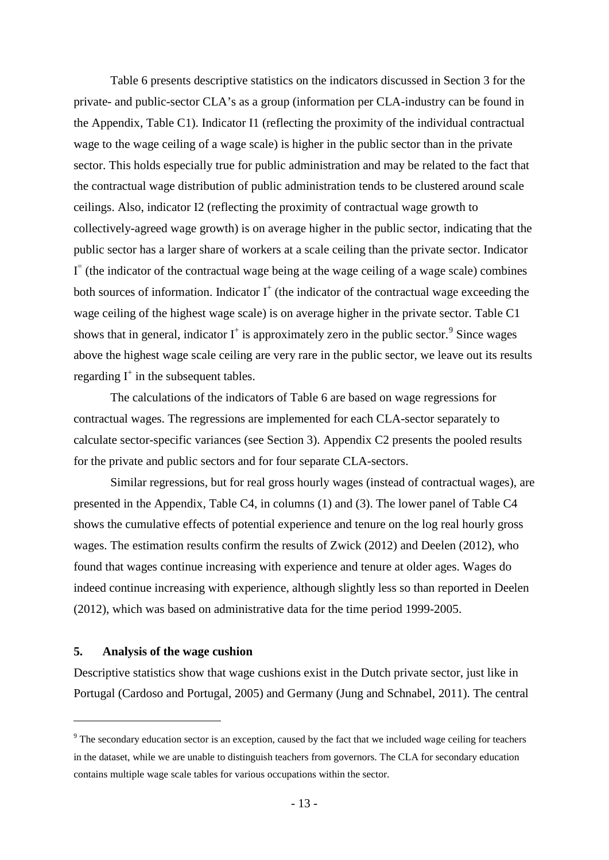Table 6 presents descriptive statistics on the indicators discussed in Section 3 for the private- and public-sector CLA's as a group (information per CLA-industry can be found in the Appendix, Table C1). Indicator I1 (reflecting the proximity of the individual contractual wage to the wage ceiling of a wage scale) is higher in the public sector than in the private sector. This holds especially true for public administration and may be related to the fact that the contractual wage distribution of public administration tends to be clustered around scale ceilings. Also, indicator I2 (reflecting the proximity of contractual wage growth to collectively-agreed wage growth) is on average higher in the public sector, indicating that the public sector has a larger share of workers at a scale ceiling than the private sector. Indicator  $I<sup>=</sup>$  (the indicator of the contractual wage being at the wage ceiling of a wage scale) combines both sources of information. Indicator  $I^+$  (the indicator of the contractual wage exceeding the wage ceiling of the highest wage scale) is on average higher in the private sector. Table C1 shows that in general, indicator  $I^+$  is approximately zero in the public sector.<sup>[9](#page-12-0)</sup> Since wages above the highest wage scale ceiling are very rare in the public sector, we leave out its results regarding  $I^+$  in the subsequent tables.

The calculations of the indicators of Table 6 are based on wage regressions for contractual wages. The regressions are implemented for each CLA-sector separately to calculate sector-specific variances (see Section 3). Appendix C2 presents the pooled results for the private and public sectors and for four separate CLA-sectors.

Similar regressions, but for real gross hourly wages (instead of contractual wages), are presented in the Appendix, Table C4, in columns (1) and (3). The lower panel of Table C4 shows the cumulative effects of potential experience and tenure on the log real hourly gross wages. The estimation results confirm the results of Zwick (2012) and Deelen (2012), who found that wages continue increasing with experience and tenure at older ages. Wages do indeed continue increasing with experience, although slightly less so than reported in Deelen (2012), which was based on administrative data for the time period 1999-2005.

#### **5. Analysis of the wage cushion**

-

Descriptive statistics show that wage cushions exist in the Dutch private sector, just like in Portugal (Cardoso and Portugal, 2005) and Germany (Jung and Schnabel, 2011). The central

<sup>&</sup>lt;sup>9</sup> The secondary education sector is an exception, caused by the fact that we included wage ceiling for teachers in the dataset, while we are unable to distinguish teachers from governors. The CLA for secondary education contains multiple wage scale tables for various occupations within the sector.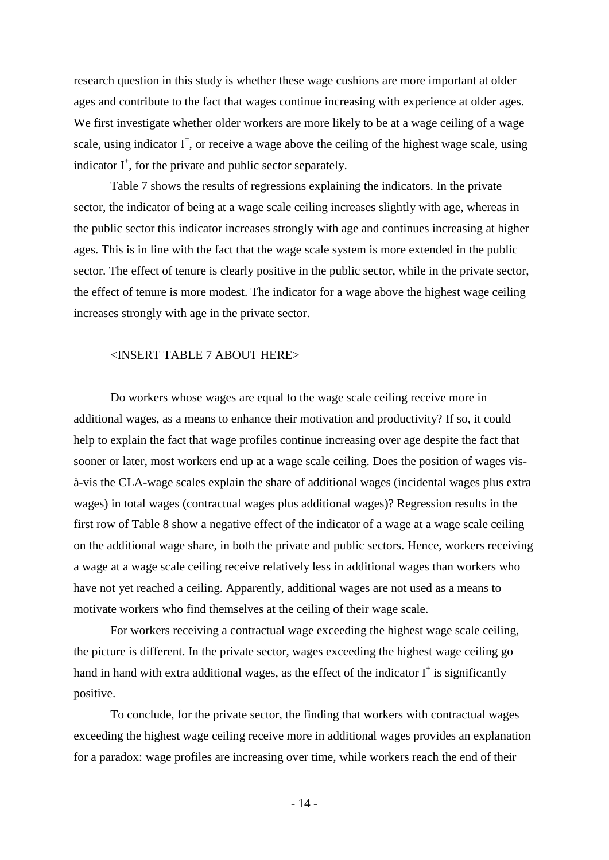research question in this study is whether these wage cushions are more important at older ages and contribute to the fact that wages continue increasing with experience at older ages. We first investigate whether older workers are more likely to be at a wage ceiling of a wage scale, using indicator  $I^=$ , or receive a wage above the ceiling of the highest wage scale, using indicator  $I^+$ , for the private and public sector separately.

Table 7 shows the results of regressions explaining the indicators. In the private sector, the indicator of being at a wage scale ceiling increases slightly with age, whereas in the public sector this indicator increases strongly with age and continues increasing at higher ages. This is in line with the fact that the wage scale system is more extended in the public sector. The effect of tenure is clearly positive in the public sector, while in the private sector, the effect of tenure is more modest. The indicator for a wage above the highest wage ceiling increases strongly with age in the private sector.

# <INSERT TABLE 7 ABOUT HERE>

Do workers whose wages are equal to the wage scale ceiling receive more in additional wages, as a means to enhance their motivation and productivity? If so, it could help to explain the fact that wage profiles continue increasing over age despite the fact that sooner or later, most workers end up at a wage scale ceiling. Does the position of wages visà-vis the CLA-wage scales explain the share of additional wages (incidental wages plus extra wages) in total wages (contractual wages plus additional wages)? Regression results in the first row of Table 8 show a negative effect of the indicator of a wage at a wage scale ceiling on the additional wage share, in both the private and public sectors. Hence, workers receiving a wage at a wage scale ceiling receive relatively less in additional wages than workers who have not yet reached a ceiling. Apparently, additional wages are not used as a means to motivate workers who find themselves at the ceiling of their wage scale.

For workers receiving a contractual wage exceeding the highest wage scale ceiling, the picture is different. In the private sector, wages exceeding the highest wage ceiling go hand in hand with extra additional wages, as the effect of the indicator  $I^+$  is significantly positive.

To conclude, for the private sector, the finding that workers with contractual wages exceeding the highest wage ceiling receive more in additional wages provides an explanation for a paradox: wage profiles are increasing over time, while workers reach the end of their

- 14 -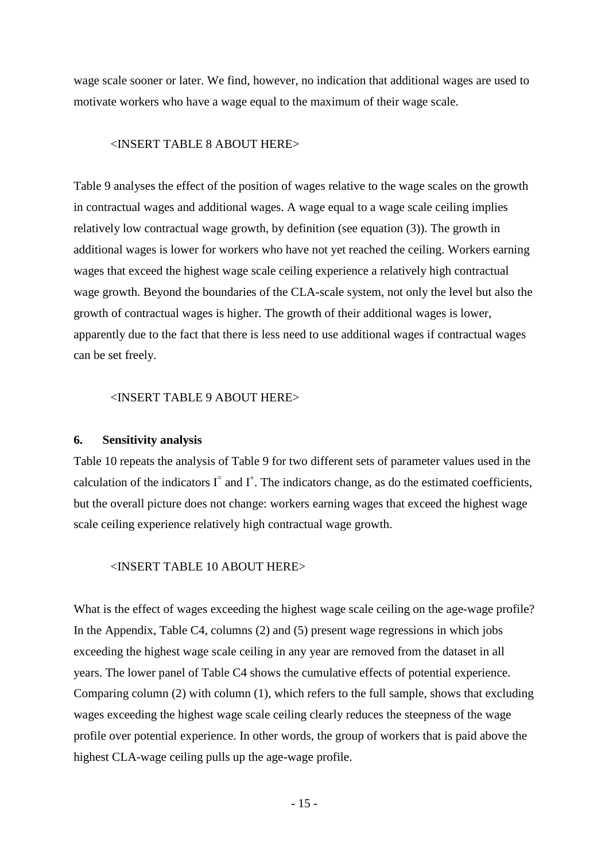wage scale sooner or later. We find, however, no indication that additional wages are used to motivate workers who have a wage equal to the maximum of their wage scale.

#### <INSERT TABLE 8 ABOUT HERE>

Table 9 analyses the effect of the position of wages relative to the wage scales on the growth in contractual wages and additional wages. A wage equal to a wage scale ceiling implies relatively low contractual wage growth, by definition (see equation (3)). The growth in additional wages is lower for workers who have not yet reached the ceiling. Workers earning wages that exceed the highest wage scale ceiling experience a relatively high contractual wage growth. Beyond the boundaries of the CLA-scale system, not only the level but also the growth of contractual wages is higher. The growth of their additional wages is lower, apparently due to the fact that there is less need to use additional wages if contractual wages can be set freely.

#### <INSERT TABLE 9 ABOUT HERE>

#### **6. Sensitivity analysis**

Table 10 repeats the analysis of Table 9 for two different sets of parameter values used in the calculation of the indicators  $I^=$  and  $I^+$ . The indicators change, as do the estimated coefficients, but the overall picture does not change: workers earning wages that exceed the highest wage scale ceiling experience relatively high contractual wage growth.

#### <INSERT TABLE 10 ABOUT HERE>

What is the effect of wages exceeding the highest wage scale ceiling on the age-wage profile? In the Appendix, Table C4, columns (2) and (5) present wage regressions in which jobs exceeding the highest wage scale ceiling in any year are removed from the dataset in all years. The lower panel of Table C4 shows the cumulative effects of potential experience. Comparing column (2) with column (1), which refers to the full sample, shows that excluding wages exceeding the highest wage scale ceiling clearly reduces the steepness of the wage profile over potential experience. In other words, the group of workers that is paid above the highest CLA-wage ceiling pulls up the age-wage profile.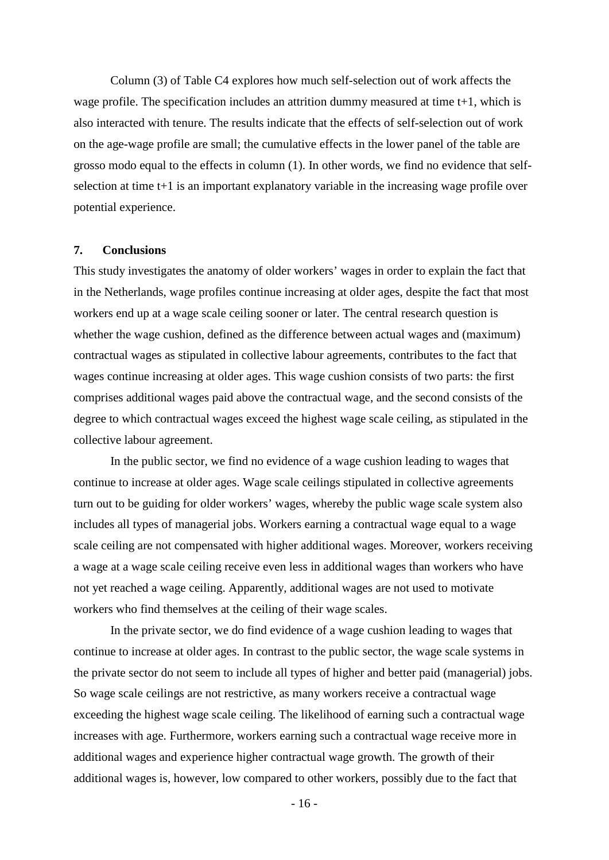Column (3) of Table C4 explores how much self-selection out of work affects the wage profile. The specification includes an attrition dummy measured at time  $t+1$ , which is also interacted with tenure. The results indicate that the effects of self-selection out of work on the age-wage profile are small; the cumulative effects in the lower panel of the table are grosso modo equal to the effects in column (1). In other words, we find no evidence that selfselection at time t+1 is an important explanatory variable in the increasing wage profile over potential experience.

#### **7. Conclusions**

This study investigates the anatomy of older workers' wages in order to explain the fact that in the Netherlands, wage profiles continue increasing at older ages, despite the fact that most workers end up at a wage scale ceiling sooner or later. The central research question is whether the wage cushion, defined as the difference between actual wages and (maximum) contractual wages as stipulated in collective labour agreements, contributes to the fact that wages continue increasing at older ages. This wage cushion consists of two parts: the first comprises additional wages paid above the contractual wage, and the second consists of the degree to which contractual wages exceed the highest wage scale ceiling, as stipulated in the collective labour agreement.

In the public sector, we find no evidence of a wage cushion leading to wages that continue to increase at older ages. Wage scale ceilings stipulated in collective agreements turn out to be guiding for older workers' wages, whereby the public wage scale system also includes all types of managerial jobs. Workers earning a contractual wage equal to a wage scale ceiling are not compensated with higher additional wages. Moreover, workers receiving a wage at a wage scale ceiling receive even less in additional wages than workers who have not yet reached a wage ceiling. Apparently, additional wages are not used to motivate workers who find themselves at the ceiling of their wage scales.

In the private sector, we do find evidence of a wage cushion leading to wages that continue to increase at older ages. In contrast to the public sector, the wage scale systems in the private sector do not seem to include all types of higher and better paid (managerial) jobs. So wage scale ceilings are not restrictive, as many workers receive a contractual wage exceeding the highest wage scale ceiling. The likelihood of earning such a contractual wage increases with age. Furthermore, workers earning such a contractual wage receive more in additional wages and experience higher contractual wage growth. The growth of their additional wages is, however, low compared to other workers, possibly due to the fact that

- 16 -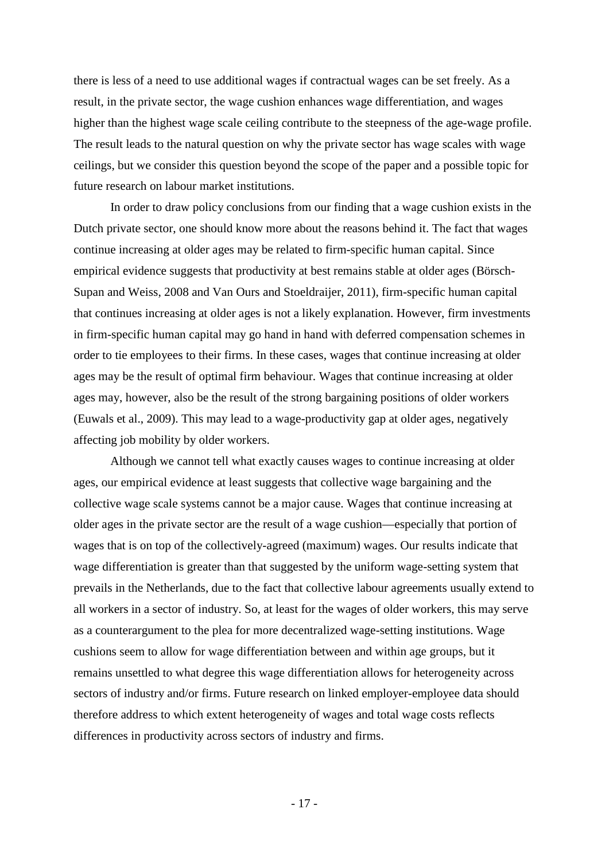there is less of a need to use additional wages if contractual wages can be set freely. As a result, in the private sector, the wage cushion enhances wage differentiation, and wages higher than the highest wage scale ceiling contribute to the steepness of the age-wage profile. The result leads to the natural question on why the private sector has wage scales with wage ceilings, but we consider this question beyond the scope of the paper and a possible topic for future research on labour market institutions.

In order to draw policy conclusions from our finding that a wage cushion exists in the Dutch private sector, one should know more about the reasons behind it. The fact that wages continue increasing at older ages may be related to firm-specific human capital. Since empirical evidence suggests that productivity at best remains stable at older ages (Börsch-Supan and Weiss, 2008 and Van Ours and Stoeldraijer, 2011), firm-specific human capital that continues increasing at older ages is not a likely explanation. However, firm investments in firm-specific human capital may go hand in hand with deferred compensation schemes in order to tie employees to their firms. In these cases, wages that continue increasing at older ages may be the result of optimal firm behaviour. Wages that continue increasing at older ages may, however, also be the result of the strong bargaining positions of older workers (Euwals et al., 2009). This may lead to a wage-productivity gap at older ages, negatively affecting job mobility by older workers.

Although we cannot tell what exactly causes wages to continue increasing at older ages, our empirical evidence at least suggests that collective wage bargaining and the collective wage scale systems cannot be a major cause. Wages that continue increasing at older ages in the private sector are the result of a wage cushion—especially that portion of wages that is on top of the collectively-agreed (maximum) wages. Our results indicate that wage differentiation is greater than that suggested by the uniform wage-setting system that prevails in the Netherlands, due to the fact that collective labour agreements usually extend to all workers in a sector of industry. So, at least for the wages of older workers, this may serve as a counterargument to the plea for more decentralized wage-setting institutions. Wage cushions seem to allow for wage differentiation between and within age groups, but it remains unsettled to what degree this wage differentiation allows for heterogeneity across sectors of industry and/or firms. Future research on linked employer-employee data should therefore address to which extent heterogeneity of wages and total wage costs reflects differences in productivity across sectors of industry and firms.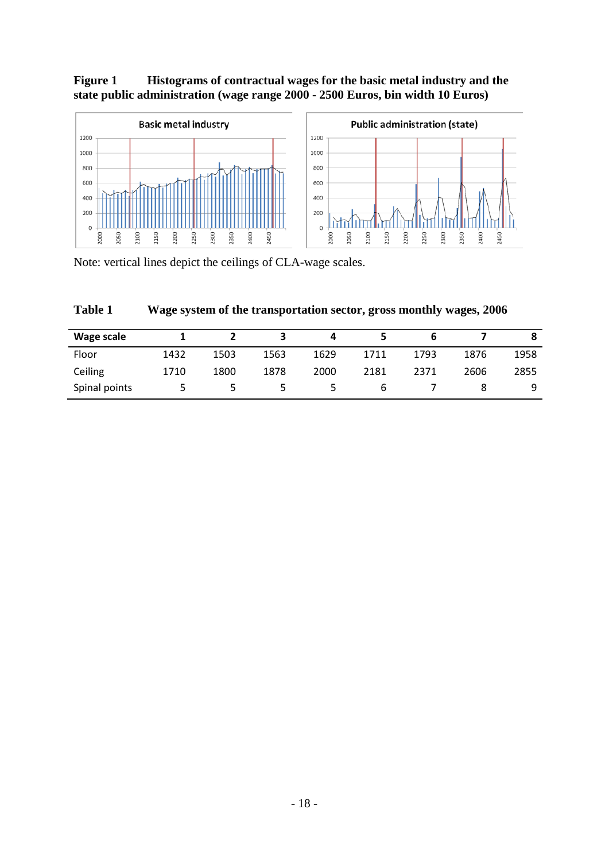**Figure 1 Histograms of contractual wages for the basic metal industry and the state public administration (wage range 2000 - 2500 Euros, bin width 10 Euros)**



Note: vertical lines depict the ceilings of CLA-wage scales.

| <b>Table 1</b> |  | Wage system of the transportation sector, gross monthly wages, 2006 |  |  |
|----------------|--|---------------------------------------------------------------------|--|--|
|----------------|--|---------------------------------------------------------------------|--|--|

| <b>Wage scale</b> |      |      |      | Д    |      |      |      |      |
|-------------------|------|------|------|------|------|------|------|------|
| Floor             | 1432 | 1503 | 1563 | 1629 | 1711 | 1793 | 1876 | 1958 |
| Ceiling           | 1710 | 1800 | 1878 | 2000 | 2181 | 2371 | 2606 | 2855 |
| Spinal points     |      |      |      |      |      |      |      |      |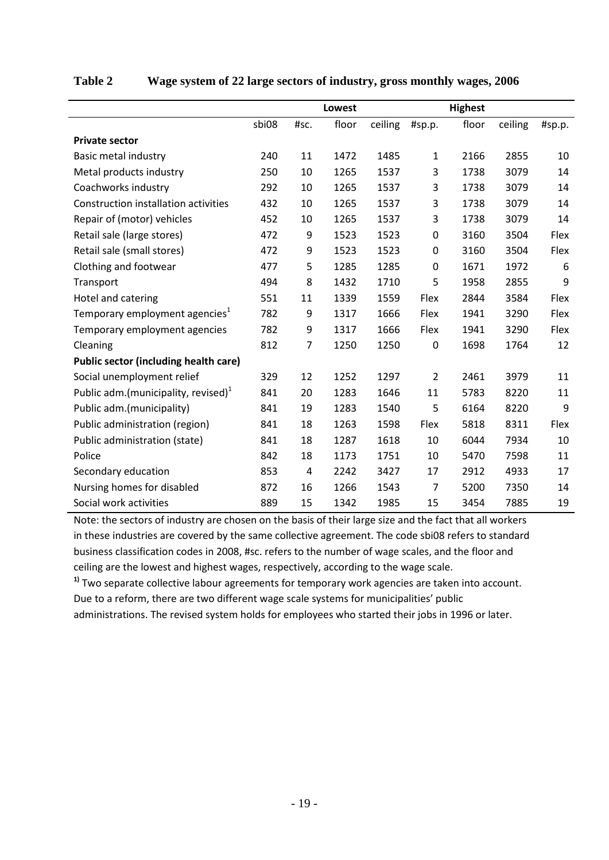|                                              |       |      | Lowest |         |                  | <b>Highest</b> |         |        |
|----------------------------------------------|-------|------|--------|---------|------------------|----------------|---------|--------|
|                                              | sbi08 | #sc. | floor  | ceiling | #sp.p.           | floor          | ceiling | #sp.p. |
| <b>Private sector</b>                        |       |      |        |         |                  |                |         |        |
| Basic metal industry                         | 240   | 11   | 1472   | 1485    | $\mathbf 1$      | 2166           | 2855    | 10     |
| Metal products industry                      | 250   | 10   | 1265   | 1537    | 3                | 1738           | 3079    | 14     |
| Coachworks industry                          | 292   | 10   | 1265   | 1537    | 3                | 1738           | 3079    | 14     |
| <b>Construction installation activities</b>  | 432   | 10   | 1265   | 1537    | 3                | 1738           | 3079    | 14     |
| Repair of (motor) vehicles                   | 452   | 10   | 1265   | 1537    | 3                | 1738           | 3079    | 14     |
| Retail sale (large stores)                   | 472   | 9    | 1523   | 1523    | $\boldsymbol{0}$ | 3160           | 3504    | Flex   |
| Retail sale (small stores)                   | 472   | 9    | 1523   | 1523    | $\boldsymbol{0}$ | 3160           | 3504    | Flex   |
| Clothing and footwear                        | 477   | 5    | 1285   | 1285    | $\mathbf 0$      | 1671           | 1972    | 6      |
| Transport                                    | 494   | 8    | 1432   | 1710    | 5                | 1958           | 2855    | 9      |
| Hotel and catering                           | 551   | 11   | 1339   | 1559    | Flex             | 2844           | 3584    | Flex   |
| Temporary employment agencies <sup>1</sup>   | 782   | 9    | 1317   | 1666    | Flex             | 1941           | 3290    | Flex   |
| Temporary employment agencies                | 782   | 9    | 1317   | 1666    | Flex             | 1941           | 3290    | Flex   |
| Cleaning                                     | 812   | 7    | 1250   | 1250    | $\mathbf 0$      | 1698           | 1764    | 12     |
| <b>Public sector (including health care)</b> |       |      |        |         |                  |                |         |        |
| Social unemployment relief                   | 329   | 12   | 1252   | 1297    | $\overline{2}$   | 2461           | 3979    | 11     |
| Public adm. (municipality, revised) $1$      | 841   | 20   | 1283   | 1646    | 11               | 5783           | 8220    | 11     |
| Public adm.(municipality)                    | 841   | 19   | 1283   | 1540    | 5                | 6164           | 8220    | 9      |
| Public administration (region)               | 841   | 18   | 1263   | 1598    | Flex             | 5818           | 8311    | Flex   |
| Public administration (state)                | 841   | 18   | 1287   | 1618    | 10               | 6044           | 7934    | 10     |
| Police                                       | 842   | 18   | 1173   | 1751    | 10               | 5470           | 7598    | 11     |
| Secondary education                          | 853   | 4    | 2242   | 3427    | 17               | 2912           | 4933    | 17     |
| Nursing homes for disabled                   | 872   | 16   | 1266   | 1543    | $\overline{7}$   | 5200           | 7350    | 14     |
| Social work activities                       | 889   | 15   | 1342   | 1985    | 15               | 3454           | 7885    | 19     |

# **Table 2 Wage system of 22 large sectors of industry, gross monthly wages, 2006**

Note: the sectors of industry are chosen on the basis of their large size and the fact that all workers in these industries are covered by the same collective agreement. The code sbi08 refers to standard business classification codes in 2008, #sc. refers to the number of wage scales, and the floor and ceiling are the lowest and highest wages, respectively, according to the wage scale.

**1)** Two separate collective labour agreements for temporary work agencies are taken into account. Due to a reform, there are two different wage scale systems for municipalities' public administrations. The revised system holds for employees who started their jobs in 1996 or later.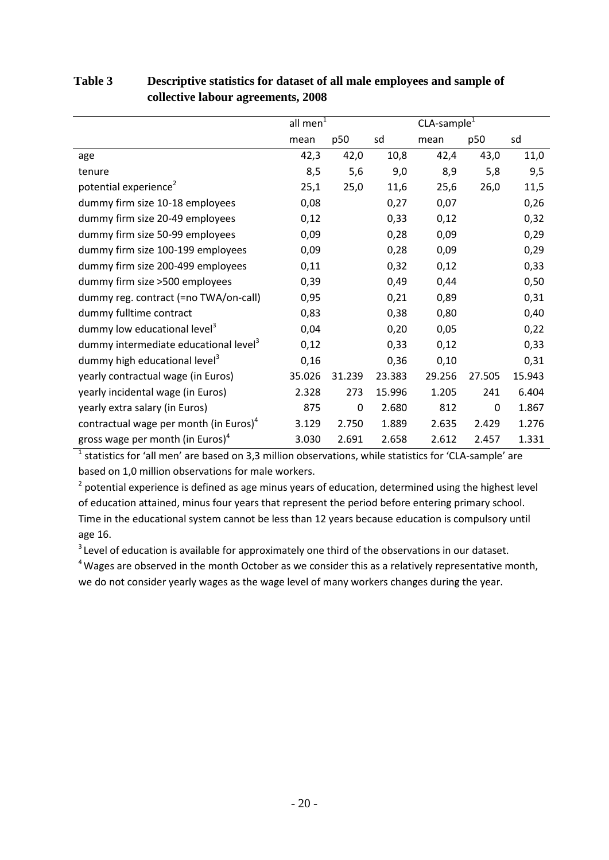|                                                    | all men <sup>1</sup><br>$CLA$ -sample <sup>1</sup> |        |        |        |        |        |
|----------------------------------------------------|----------------------------------------------------|--------|--------|--------|--------|--------|
|                                                    | mean                                               | p50    | sd     | mean   | p50    | sd     |
| age                                                | 42,3                                               | 42,0   | 10,8   | 42,4   | 43,0   | 11,0   |
| tenure                                             | 8,5                                                | 5,6    | 9,0    | 8,9    | 5,8    | 9,5    |
| potential experience <sup>2</sup>                  | 25,1                                               | 25,0   | 11,6   | 25,6   | 26,0   | 11,5   |
| dummy firm size 10-18 employees                    | 0,08                                               |        | 0,27   | 0,07   |        | 0,26   |
| dummy firm size 20-49 employees                    | 0,12                                               |        | 0,33   | 0,12   |        | 0,32   |
| dummy firm size 50-99 employees                    | 0,09                                               |        | 0,28   | 0,09   |        | 0,29   |
| dummy firm size 100-199 employees                  | 0,09                                               |        | 0,28   | 0,09   |        | 0,29   |
| dummy firm size 200-499 employees                  | 0,11                                               |        | 0,32   | 0,12   |        | 0,33   |
| dummy firm size >500 employees                     | 0,39                                               |        | 0,49   | 0,44   |        | 0,50   |
| dummy reg. contract (=no TWA/on-call)              | 0,95                                               |        | 0,21   | 0,89   |        | 0,31   |
| dummy fulltime contract                            | 0,83                                               |        | 0,38   | 0,80   |        | 0,40   |
| dummy low educational level <sup>3</sup>           | 0,04                                               |        | 0,20   | 0,05   |        | 0,22   |
| dummy intermediate educational level <sup>3</sup>  | 0,12                                               |        | 0,33   | 0,12   |        | 0,33   |
| dummy high educational level <sup>3</sup>          | 0,16                                               |        | 0,36   | 0,10   |        | 0,31   |
| yearly contractual wage (in Euros)                 | 35.026                                             | 31.239 | 23.383 | 29.256 | 27.505 | 15.943 |
| yearly incidental wage (in Euros)                  | 2.328                                              | 273    | 15.996 | 1.205  | 241    | 6.404  |
| yearly extra salary (in Euros)                     | 875                                                | 0      | 2.680  | 812    | 0      | 1.867  |
| contractual wage per month (in Euros) <sup>4</sup> | 3.129                                              | 2.750  | 1.889  | 2.635  | 2.429  | 1.276  |
| gross wage per month (in Euros) <sup>4</sup>       | 3.030                                              | 2.691  | 2.658  | 2.612  | 2.457  | 1.331  |

# **Table 3 Descriptive statistics for dataset of all male employees and sample of collective labour agreements, 2008**

 $<sup>1</sup>$  statistics for 'all men' are based on 3,3 million observations, while statistics for 'CLA-sample' are</sup> based on 1,0 million observations for male workers.

 $2$  potential experience is defined as age minus years of education, determined using the highest level of education attained, minus four years that represent the period before entering primary school. Time in the educational system cannot be less than 12 years because education is compulsory until age 16.

<sup>3</sup> Level of education is available for approximately one third of the observations in our dataset.

 $4$  Wages are observed in the month October as we consider this as a relatively representative month, we do not consider yearly wages as the wage level of many workers changes during the year.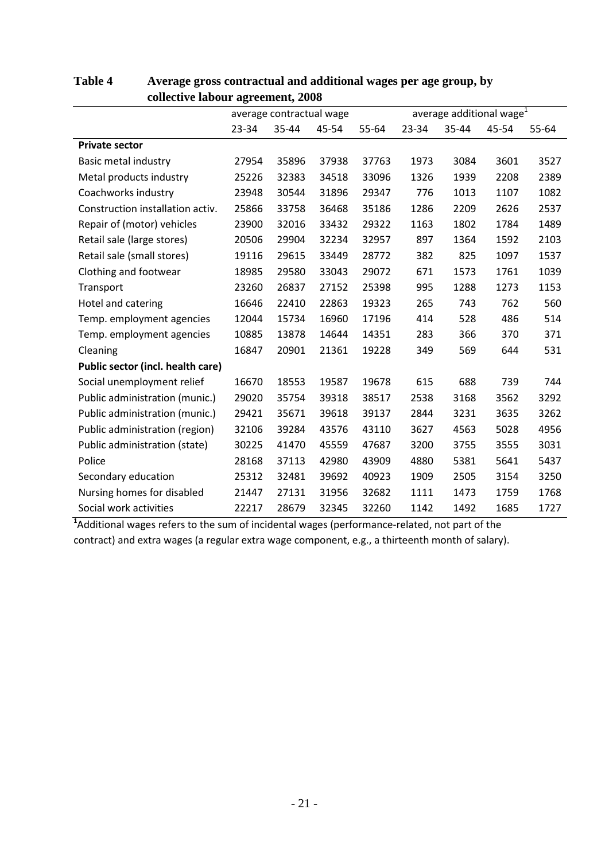|                                   | average additional wage <sup>1</sup><br>average contractual wage |       |       |       |       |       |       |       |
|-----------------------------------|------------------------------------------------------------------|-------|-------|-------|-------|-------|-------|-------|
|                                   | 23-34                                                            | 35-44 | 45-54 | 55-64 | 23-34 | 35-44 | 45-54 | 55-64 |
| <b>Private sector</b>             |                                                                  |       |       |       |       |       |       |       |
| Basic metal industry              | 27954                                                            | 35896 | 37938 | 37763 | 1973  | 3084  | 3601  | 3527  |
| Metal products industry           | 25226                                                            | 32383 | 34518 | 33096 | 1326  | 1939  | 2208  | 2389  |
| Coachworks industry               | 23948                                                            | 30544 | 31896 | 29347 | 776   | 1013  | 1107  | 1082  |
| Construction installation activ.  | 25866                                                            | 33758 | 36468 | 35186 | 1286  | 2209  | 2626  | 2537  |
| Repair of (motor) vehicles        | 23900                                                            | 32016 | 33432 | 29322 | 1163  | 1802  | 1784  | 1489  |
| Retail sale (large stores)        | 20506                                                            | 29904 | 32234 | 32957 | 897   | 1364  | 1592  | 2103  |
| Retail sale (small stores)        | 19116                                                            | 29615 | 33449 | 28772 | 382   | 825   | 1097  | 1537  |
| Clothing and footwear             | 18985                                                            | 29580 | 33043 | 29072 | 671   | 1573  | 1761  | 1039  |
| Transport                         | 23260                                                            | 26837 | 27152 | 25398 | 995   | 1288  | 1273  | 1153  |
| Hotel and catering                | 16646                                                            | 22410 | 22863 | 19323 | 265   | 743   | 762   | 560   |
| Temp. employment agencies         | 12044                                                            | 15734 | 16960 | 17196 | 414   | 528   | 486   | 514   |
| Temp. employment agencies         | 10885                                                            | 13878 | 14644 | 14351 | 283   | 366   | 370   | 371   |
| Cleaning                          | 16847                                                            | 20901 | 21361 | 19228 | 349   | 569   | 644   | 531   |
| Public sector (incl. health care) |                                                                  |       |       |       |       |       |       |       |
| Social unemployment relief        | 16670                                                            | 18553 | 19587 | 19678 | 615   | 688   | 739   | 744   |
| Public administration (munic.)    | 29020                                                            | 35754 | 39318 | 38517 | 2538  | 3168  | 3562  | 3292  |
| Public administration (munic.)    | 29421                                                            | 35671 | 39618 | 39137 | 2844  | 3231  | 3635  | 3262  |
| Public administration (region)    | 32106                                                            | 39284 | 43576 | 43110 | 3627  | 4563  | 5028  | 4956  |
| Public administration (state)     | 30225                                                            | 41470 | 45559 | 47687 | 3200  | 3755  | 3555  | 3031  |
| Police                            | 28168                                                            | 37113 | 42980 | 43909 | 4880  | 5381  | 5641  | 5437  |
| Secondary education               | 25312                                                            | 32481 | 39692 | 40923 | 1909  | 2505  | 3154  | 3250  |
| Nursing homes for disabled        | 21447                                                            | 27131 | 31956 | 32682 | 1111  | 1473  | 1759  | 1768  |
| Social work activities            | 22217                                                            | 28679 | 32345 | 32260 | 1142  | 1492  | 1685  | 1727  |

# **Table 4 Average gross contractual and additional wages per age group, by collective labour agreement, 2008**

**1** Additional wages refers to the sum of incidental wages (performance-related, not part of the contract) and extra wages (a regular extra wage component, e.g., a thirteenth month of salary).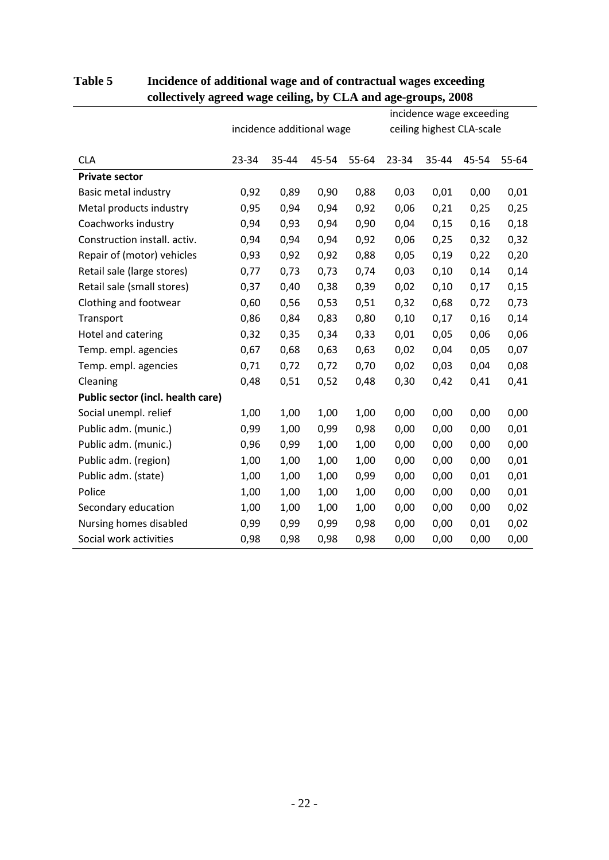| incidence wage exceeding          |                           |       |                           |       |       |       |       |       |
|-----------------------------------|---------------------------|-------|---------------------------|-------|-------|-------|-------|-------|
|                                   | incidence additional wage |       | ceiling highest CLA-scale |       |       |       |       |       |
| <b>CLA</b>                        | 23-34                     | 35-44 | 45-54                     | 55-64 | 23-34 | 35-44 | 45-54 | 55-64 |
| <b>Private sector</b>             |                           |       |                           |       |       |       |       |       |
| Basic metal industry              | 0,92                      | 0,89  | 0,90                      | 0,88  | 0,03  | 0,01  | 0,00  | 0,01  |
| Metal products industry           | 0,95                      | 0,94  | 0,94                      | 0,92  | 0,06  | 0,21  | 0,25  | 0,25  |
| Coachworks industry               | 0,94                      | 0,93  | 0,94                      | 0,90  | 0,04  | 0,15  | 0,16  | 0,18  |
| Construction install. activ.      | 0,94                      | 0,94  | 0,94                      | 0,92  | 0,06  | 0,25  | 0,32  | 0,32  |
| Repair of (motor) vehicles        | 0,93                      | 0,92  | 0,92                      | 0,88  | 0,05  | 0,19  | 0,22  | 0,20  |
| Retail sale (large stores)        | 0,77                      | 0,73  | 0,73                      | 0,74  | 0,03  | 0,10  | 0,14  | 0,14  |
| Retail sale (small stores)        | 0,37                      | 0,40  | 0,38                      | 0,39  | 0,02  | 0,10  | 0,17  | 0,15  |
| Clothing and footwear             | 0,60                      | 0,56  | 0,53                      | 0,51  | 0,32  | 0,68  | 0,72  | 0,73  |
| Transport                         | 0,86                      | 0,84  | 0,83                      | 0,80  | 0,10  | 0,17  | 0,16  | 0,14  |
| Hotel and catering                | 0,32                      | 0,35  | 0,34                      | 0,33  | 0,01  | 0,05  | 0,06  | 0,06  |
| Temp. empl. agencies              | 0,67                      | 0,68  | 0,63                      | 0,63  | 0,02  | 0,04  | 0,05  | 0,07  |
| Temp. empl. agencies              | 0,71                      | 0,72  | 0,72                      | 0,70  | 0,02  | 0,03  | 0,04  | 0,08  |
| Cleaning                          | 0,48                      | 0,51  | 0,52                      | 0,48  | 0,30  | 0,42  | 0,41  | 0,41  |
| Public sector (incl. health care) |                           |       |                           |       |       |       |       |       |
| Social unempl. relief             | 1,00                      | 1,00  | 1,00                      | 1,00  | 0,00  | 0,00  | 0,00  | 0,00  |
| Public adm. (munic.)              | 0,99                      | 1,00  | 0,99                      | 0,98  | 0,00  | 0,00  | 0,00  | 0,01  |
| Public adm. (munic.)              | 0,96                      | 0,99  | 1,00                      | 1,00  | 0,00  | 0,00  | 0,00  | 0,00  |
| Public adm. (region)              | 1,00                      | 1,00  | 1,00                      | 1,00  | 0,00  | 0,00  | 0,00  | 0,01  |
| Public adm. (state)               | 1,00                      | 1,00  | 1,00                      | 0,99  | 0,00  | 0,00  | 0,01  | 0,01  |
| Police                            | 1,00                      | 1,00  | 1,00                      | 1,00  | 0,00  | 0,00  | 0,00  | 0,01  |
| Secondary education               | 1,00                      | 1,00  | 1,00                      | 1,00  | 0,00  | 0,00  | 0,00  | 0,02  |
| Nursing homes disabled            | 0,99                      | 0,99  | 0,99                      | 0,98  | 0,00  | 0,00  | 0,01  | 0,02  |
| Social work activities            | 0,98                      | 0,98  | 0,98                      | 0,98  | 0,00  | 0,00  | 0,00  | 0,00  |

# **Table 5 Incidence of additional wage and of contractual wages exceeding collectively agreed wage ceiling, by CLA and age-groups, 2008**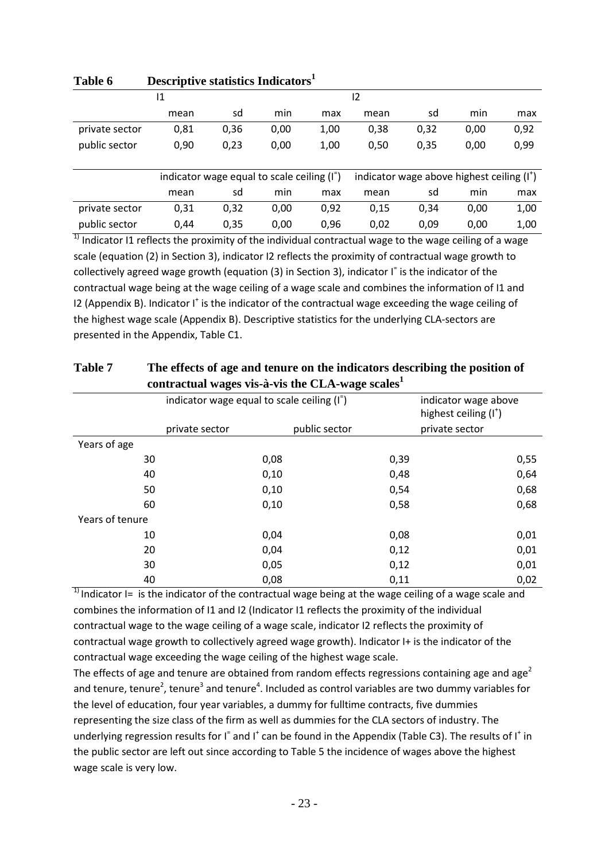| - - - - - - -  | $\sim$ 0.000 m/s $\sim$ 0.000 m/s $\sim$ 0.000 m/s $\sim$ |                                                         |      |      |      |      |                                                        |      |
|----------------|-----------------------------------------------------------|---------------------------------------------------------|------|------|------|------|--------------------------------------------------------|------|
|                | 11                                                        |                                                         |      |      | 12   |      |                                                        |      |
|                | mean                                                      | sd                                                      | min  | max  | mean | sd   | min                                                    | max  |
| private sector | 0,81                                                      | 0,36                                                    | 0,00 | 1,00 | 0,38 | 0,32 | 0,00                                                   | 0,92 |
| public sector  | 0,90                                                      | 0,23                                                    | 0,00 | 1,00 | 0,50 | 0,35 | 0,00                                                   | 0,99 |
|                |                                                           |                                                         |      |      |      |      |                                                        |      |
|                |                                                           | indicator wage equal to scale ceiling (I <sup>-</sup> ) |      |      |      |      | indicator wage above highest ceiling (I <sup>+</sup> ) |      |
|                | mean                                                      | sd                                                      | min  | max  | mean | sd   | min                                                    | max  |
| private sector | 0,31                                                      | 0,32                                                    | 0,00 | 0,92 | 0,15 | 0,34 | 0,00                                                   | 1,00 |
| public sector  | 0,44                                                      | 0,35                                                    | 0,00 | 0,96 | 0,02 | 0,09 | 0,00                                                   | 1,00 |

**Table 6 Descriptive statistics Indicators<sup>1</sup>**

 $1)$  Indicator I1 reflects the proximity of the individual contractual wage to the wage ceiling of a wage scale (equation (2) in Section 3), indicator I2 reflects the proximity of contractual wage growth to collectively agreed wage growth (equation (3) in Section 3), indicator  $I^{\dagger}$  is the indicator of the contractual wage being at the wage ceiling of a wage scale and combines the information of I1 and I2 (Appendix B). Indicator I<sup>+</sup> is the indicator of the contractual wage exceeding the wage ceiling of the highest wage scale (Appendix B). Descriptive statistics for the underlying CLA-sectors are presented in the Appendix, Table C1.

| contractual wages vis-à-vis the $CLA$ -wage scales <sup>1</sup> |                                                         |               |                                                         |  |  |  |  |  |
|-----------------------------------------------------------------|---------------------------------------------------------|---------------|---------------------------------------------------------|--|--|--|--|--|
|                                                                 | indicator wage equal to scale ceiling (I <sup>-</sup> ) |               | indicator wage above<br>highest ceiling $(I^{\dagger})$ |  |  |  |  |  |
|                                                                 | private sector                                          | public sector | private sector                                          |  |  |  |  |  |
| Years of age                                                    |                                                         |               |                                                         |  |  |  |  |  |
| 30                                                              | 0,08                                                    | 0,39          | 0,55                                                    |  |  |  |  |  |
| 40                                                              | 0,10                                                    | 0,48          | 0,64                                                    |  |  |  |  |  |
| 50                                                              | 0,10                                                    | 0,54          | 0,68                                                    |  |  |  |  |  |
| 60                                                              | 0,10                                                    | 0,58          | 0,68                                                    |  |  |  |  |  |
| Years of tenure                                                 |                                                         |               |                                                         |  |  |  |  |  |
| 10                                                              | 0,04                                                    | 0,08          | 0,01                                                    |  |  |  |  |  |
| 20                                                              | 0,04                                                    | 0,12          | 0,01                                                    |  |  |  |  |  |
| 30                                                              | 0,05                                                    | 0,12          | 0,01                                                    |  |  |  |  |  |
| 40                                                              | 0,08                                                    | 0,11          | 0,02                                                    |  |  |  |  |  |

### **Table 7 The effects of age and tenure on the indicators describing the position of 1**

 $1)$  Indicator I= is the indicator of the contractual wage being at the wage ceiling of a wage scale and combines the information of I1 and I2 (Indicator I1 reflects the proximity of the individual contractual wage to the wage ceiling of a wage scale, indicator I2 reflects the proximity of contractual wage growth to collectively agreed wage growth). Indicator I+ is the indicator of the contractual wage exceeding the wage ceiling of the highest wage scale.

The effects of age and tenure are obtained from random effects regressions containing age and age<sup>2</sup> and tenure, tenure<sup>2</sup>, tenure<sup>3</sup> and tenure<sup>4</sup>. Included as control variables are two dummy variables for the level of education, four year variables, a dummy for fulltime contracts, five dummies representing the size class of the firm as well as dummies for the CLA sectors of industry. The underlying regression results for I<sup>=</sup> and I<sup>+</sup> can be found in the Appendix (Table C3). The results of I<sup>+</sup> in the public sector are left out since according to Table 5 the incidence of wages above the highest wage scale is very low.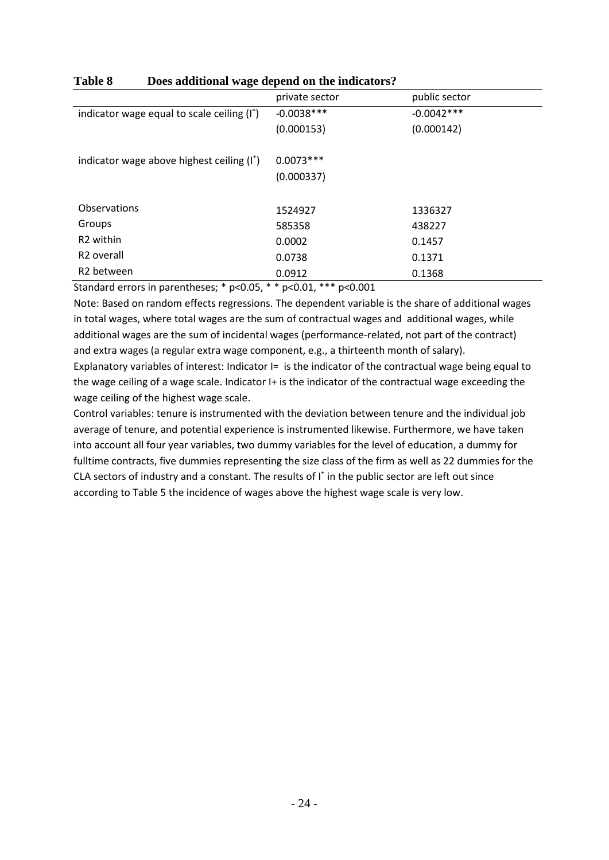|                                                       | private sector | public sector |
|-------------------------------------------------------|----------------|---------------|
| indicator wage equal to scale ceiling $(I^{\dagger})$ | $-0.0038***$   | $-0.0042***$  |
|                                                       | (0.000153)     | (0.000142)    |
|                                                       |                |               |
| indicator wage above highest ceiling $(I^*)$          | $0.0073***$    |               |
|                                                       | (0.000337)     |               |
|                                                       |                |               |
| Observations                                          | 1524927        | 1336327       |
| Groups                                                | 585358         | 438227        |
| R <sub>2</sub> within                                 | 0.0002         | 0.1457        |
| R <sub>2</sub> overall                                | 0.0738         | 0.1371        |
| R <sub>2</sub> between                                | 0.0912         | 0.1368        |

# **Table 8 Does additional wage depend on the indicators?**

Standard errors in parentheses; \* p<0.05, \* \* p<0.01, \*\*\* p<0.001

Note: Based on random effects regressions. The dependent variable is the share of additional wages in total wages, where total wages are the sum of contractual wages and additional wages, while additional wages are the sum of incidental wages (performance-related, not part of the contract) and extra wages (a regular extra wage component, e.g., a thirteenth month of salary). Explanatory variables of interest: Indicator I= is the indicator of the contractual wage being equal to the wage ceiling of a wage scale. Indicator I+ is the indicator of the contractual wage exceeding the wage ceiling of the highest wage scale.

Control variables: tenure is instrumented with the deviation between tenure and the individual job average of tenure, and potential experience is instrumented likewise. Furthermore, we have taken into account all four year variables, two dummy variables for the level of education, a dummy for fulltime contracts, five dummies representing the size class of the firm as well as 22 dummies for the CLA sectors of industry and a constant. The results of  $I^+$  in the public sector are left out since according to Table 5 the incidence of wages above the highest wage scale is very low.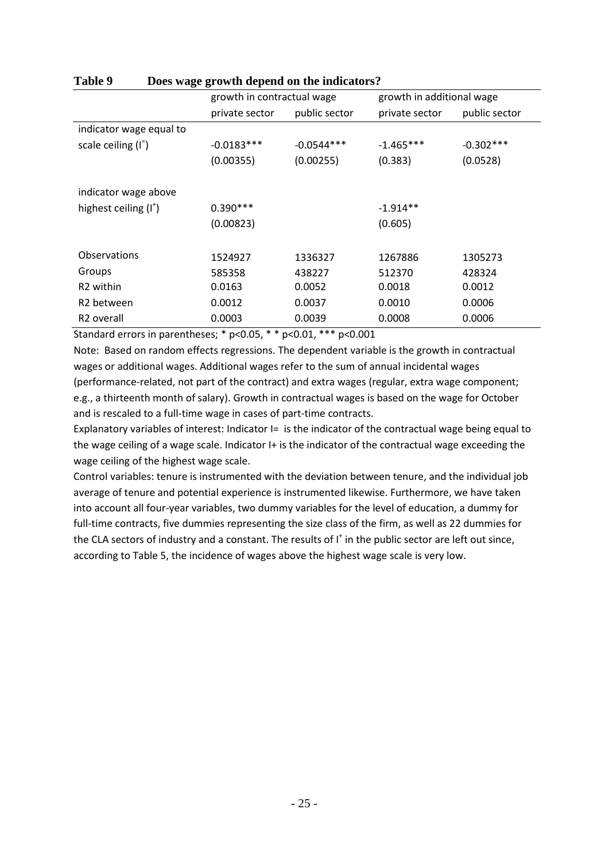|                                 | growth in contractual wage |               | growth in additional wage |               |
|---------------------------------|----------------------------|---------------|---------------------------|---------------|
|                                 | private sector             | public sector | private sector            | public sector |
| indicator wage equal to         |                            |               |                           |               |
| scale ceiling $(I=)$            | $-0.0183***$               | $-0.0544***$  | $-1.465***$               | $-0.302$ ***  |
|                                 | (0.00355)                  | (0.00255)     | (0.383)                   | (0.0528)      |
|                                 |                            |               |                           |               |
| indicator wage above            |                            |               |                           |               |
| highest ceiling $(I^{\dagger})$ | $0.390***$                 |               | $-1.914**$                |               |
|                                 | (0.00823)                  |               | (0.605)                   |               |
|                                 |                            |               |                           |               |
| Observations                    | 1524927                    | 1336327       | 1267886                   | 1305273       |
| Groups                          | 585358                     | 438227        | 512370                    | 428324        |
| R <sub>2</sub> within           | 0.0163                     | 0.0052        | 0.0018                    | 0.0012        |
| R <sub>2</sub> between          | 0.0012                     | 0.0037        | 0.0010                    | 0.0006        |
| R <sub>2</sub> overall          | 0.0003                     | 0.0039        | 0.0008                    | 0.0006        |

### **Table 9 Does wage growth depend on the indicators?**

Standard errors in parentheses; \* p<0.05, \* \* p<0.01, \*\*\* p<0.001

Note: Based on random effects regressions. The dependent variable is the growth in contractual wages or additional wages. Additional wages refer to the sum of annual incidental wages (performance-related, not part of the contract) and extra wages (regular, extra wage component; e.g., a thirteenth month of salary). Growth in contractual wages is based on the wage for October and is rescaled to a full-time wage in cases of part-time contracts.

Explanatory variables of interest: Indicator I= is the indicator of the contractual wage being equal to the wage ceiling of a wage scale. Indicator I+ is the indicator of the contractual wage exceeding the wage ceiling of the highest wage scale.

Control variables: tenure is instrumented with the deviation between tenure, and the individual job average of tenure and potential experience is instrumented likewise. Furthermore, we have taken into account all four-year variables, two dummy variables for the level of education, a dummy for full-time contracts, five dummies representing the size class of the firm, as well as 22 dummies for the CLA sectors of industry and a constant. The results of  $I^*$  in the public sector are left out since, according to Table 5, the incidence of wages above the highest wage scale is very low.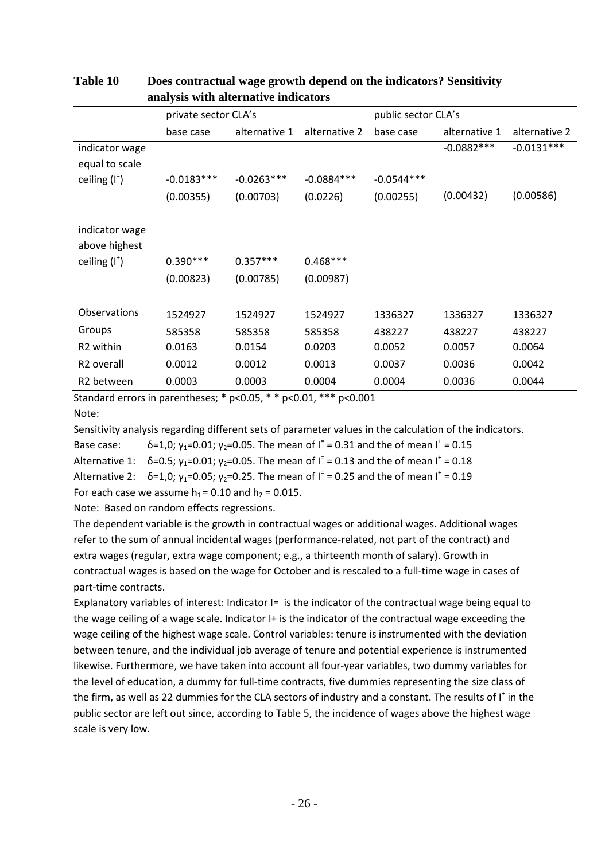|                        | private sector CLA's |               |               | public sector CLA's |               |               |
|------------------------|----------------------|---------------|---------------|---------------------|---------------|---------------|
|                        | base case            | alternative 1 | alternative 2 | base case           | alternative 1 | alternative 2 |
| indicator wage         |                      |               |               |                     | $-0.0882***$  | $-0.0131***$  |
| equal to scale         |                      |               |               |                     |               |               |
| ceiling $(I^-)$        | $-0.0183***$         | $-0.0263***$  | $-0.0884***$  | $-0.0544***$        |               |               |
|                        | (0.00355)            | (0.00703)     | (0.0226)      | (0.00255)           | (0.00432)     | (0.00586)     |
|                        |                      |               |               |                     |               |               |
| indicator wage         |                      |               |               |                     |               |               |
| above highest          |                      |               |               |                     |               |               |
| ceiling $(I^+)$        | $0.390***$           | $0.357***$    | $0.468***$    |                     |               |               |
|                        | (0.00823)            | (0.00785)     | (0.00987)     |                     |               |               |
|                        |                      |               |               |                     |               |               |
| Observations           | 1524927              | 1524927       | 1524927       | 1336327             | 1336327       | 1336327       |
| Groups                 | 585358               | 585358        | 585358        | 438227              | 438227        | 438227        |
| R <sub>2</sub> within  | 0.0163               | 0.0154        | 0.0203        | 0.0052              | 0.0057        | 0.0064        |
| R2 overall             | 0.0012               | 0.0012        | 0.0013        | 0.0037              | 0.0036        | 0.0042        |
| R <sub>2</sub> between | 0.0003               | 0.0003        | 0.0004        | 0.0004              | 0.0036        | 0.0044        |

# **Table 10 Does contractual wage growth depend on the indicators? Sensitivity analysis with alternative indicators**

Standard errors in parentheses; \* p<0.05, \* \* p<0.01, \*\*\* p<0.001 Note:

Sensitivity analysis regarding different sets of parameter values in the calculation of the indicators.

Base case: δ=1,0; γ<sub>1</sub>=0.01; γ<sub>2</sub>=0.05. The mean of  $I^{\dagger}$  = 0.31 and the of mean  $I^{\dagger}$  = 0.15

Alternative 1: δ=0.5; γ<sub>1</sub>=0.01; γ<sub>2</sub>=0.05. The mean of  $I^{\dagger}$  = 0.13 and the of mean  $I^{\dagger}$  = 0.18

Alternative 2: δ=1,0; γ<sub>1</sub>=0.05; γ<sub>2</sub>=0.25. The mean of  $I^{\dagger}$  = 0.25 and the of mean  $I^{\dagger}$  = 0.19

For each case we assume  $h_1 = 0.10$  and  $h_2 = 0.015$ .

Note: Based on random effects regressions.

The dependent variable is the growth in contractual wages or additional wages. Additional wages refer to the sum of annual incidental wages (performance-related, not part of the contract) and extra wages (regular, extra wage component; e.g., a thirteenth month of salary). Growth in contractual wages is based on the wage for October and is rescaled to a full-time wage in cases of part-time contracts.

Explanatory variables of interest: Indicator I= is the indicator of the contractual wage being equal to the wage ceiling of a wage scale. Indicator I+ is the indicator of the contractual wage exceeding the wage ceiling of the highest wage scale. Control variables: tenure is instrumented with the deviation between tenure, and the individual job average of tenure and potential experience is instrumented likewise. Furthermore, we have taken into account all four-year variables, two dummy variables for the level of education, a dummy for full-time contracts, five dummies representing the size class of the firm, as well as 22 dummies for the CLA sectors of industry and a constant. The results of I<sup>+</sup> in the public sector are left out since, according to Table 5, the incidence of wages above the highest wage scale is very low.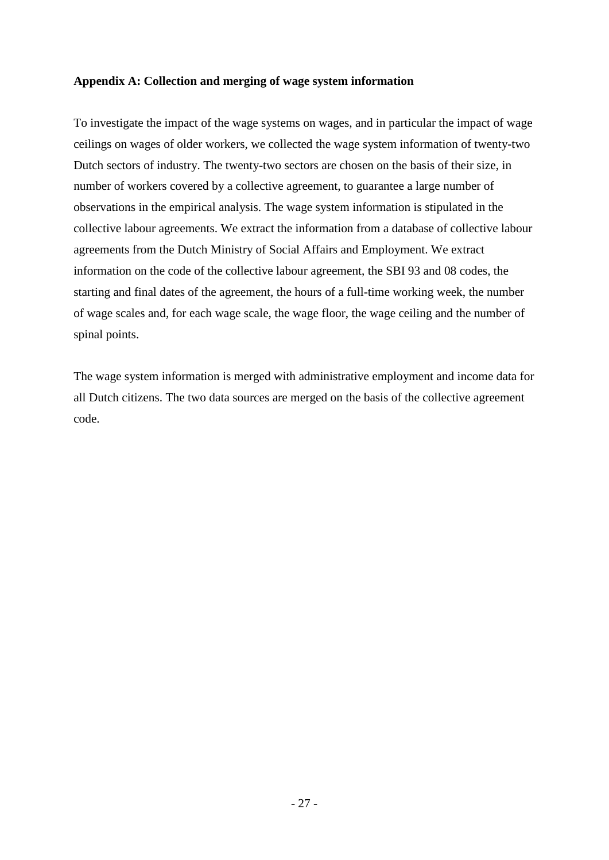### **Appendix A: Collection and merging of wage system information**

To investigate the impact of the wage systems on wages, and in particular the impact of wage ceilings on wages of older workers, we collected the wage system information of twenty-two Dutch sectors of industry. The twenty-two sectors are chosen on the basis of their size, in number of workers covered by a collective agreement, to guarantee a large number of observations in the empirical analysis. The wage system information is stipulated in the collective labour agreements. We extract the information from a database of collective labour agreements from the Dutch Ministry of Social Affairs and Employment. We extract information on the code of the collective labour agreement, the SBI 93 and 08 codes, the starting and final dates of the agreement, the hours of a full-time working week, the number of wage scales and, for each wage scale, the wage floor, the wage ceiling and the number of spinal points.

The wage system information is merged with administrative employment and income data for all Dutch citizens. The two data sources are merged on the basis of the collective agreement code.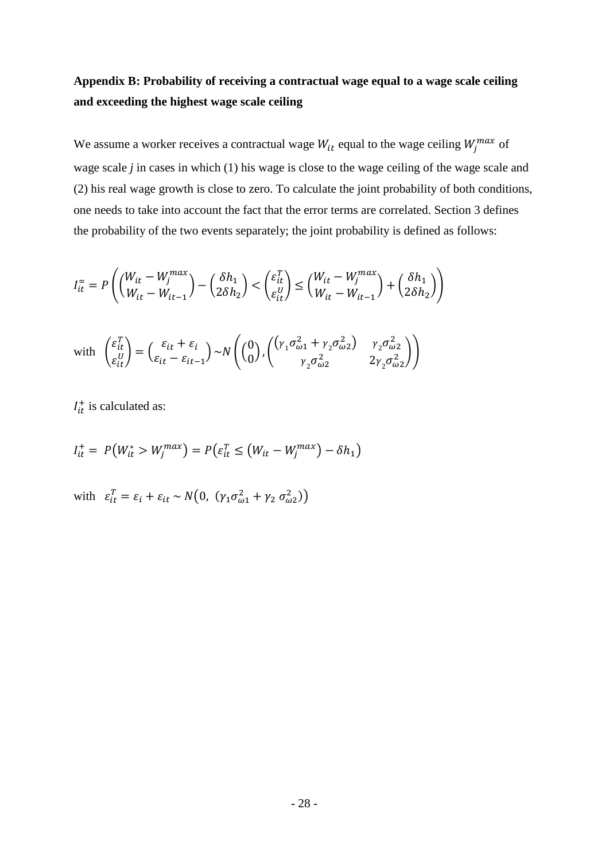# **Appendix B: Probability of receiving a contractual wage equal to a wage scale ceiling and exceeding the highest wage scale ceiling**

We assume a worker receives a contractual wage  $W_{it}$  equal to the wage ceiling  $W_j^{max}$  of wage scale *j* in cases in which (1) his wage is close to the wage ceiling of the wage scale and (2) his real wage growth is close to zero. To calculate the joint probability of both conditions, one needs to take into account the fact that the error terms are correlated. Section 3 defines the probability of the two events separately; the joint probability is defined as follows:

$$
I_{it}^{\equiv} = P\left( \begin{pmatrix} W_{it} - W_j^{max} \\ W_{it} - W_{it-1} \end{pmatrix} - \begin{pmatrix} \delta h_1 \\ 2\delta h_2 \end{pmatrix} < \begin{pmatrix} \varepsilon_{it}^T \\ \varepsilon_{it}^U \end{pmatrix} \leq \begin{pmatrix} W_{it} - W_j^{max} \\ W_{it} - W_{it-1} \end{pmatrix} + \begin{pmatrix} \delta h_1 \\ 2\delta h_2 \end{pmatrix} \right)
$$

with 
$$
\begin{pmatrix} \varepsilon_{it}^T \\ \varepsilon_{it}^U \end{pmatrix} = \begin{pmatrix} \varepsilon_{it} + \varepsilon_i \\ \varepsilon_{it} - \varepsilon_{it-1} \end{pmatrix} \sim N \begin{pmatrix} 0 \\ 0 \end{pmatrix}, \begin{pmatrix} \left(\gamma_1 \sigma_{\omega 1}^2 + \gamma_2 \sigma_{\omega 2}^2\right) & \gamma_2 \sigma_{\omega 2}^2 \\ \gamma_2 \sigma_{\omega 2}^2 & 2 \gamma_2 \sigma_{\omega 2}^2 \end{pmatrix}
$$

 $I_{it}^{+}$  is calculated as:

$$
I_{it}^+ = P(W_{it}^* > W_j^{max}) = P(\varepsilon_{it}^T \leq (W_{it} - W_j^{max}) - \delta h_1)
$$

with  $\varepsilon_{it}^T = \varepsilon_i + \varepsilon_{it} \sim N(0, (\gamma_1 \sigma_{\omega_1}^2 + \gamma_2 \sigma_{\omega_2}^2))$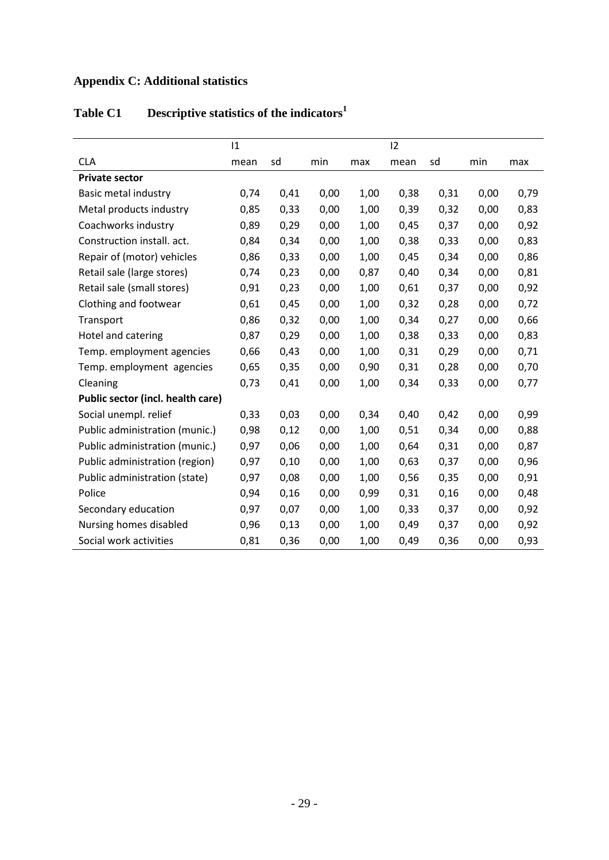# **Appendix C: Additional statistics**

| <b>Descriptive statistics of the indicators</b> |
|-------------------------------------------------|
|                                                 |

|                                   | 1    |      |      |      | 12   |      |      |      |
|-----------------------------------|------|------|------|------|------|------|------|------|
| <b>CLA</b>                        | mean | sd   | min  | max  | mean | sd   | min  | max  |
| <b>Private sector</b>             |      |      |      |      |      |      |      |      |
| Basic metal industry              | 0,74 | 0,41 | 0,00 | 1,00 | 0,38 | 0,31 | 0,00 | 0,79 |
| Metal products industry           | 0,85 | 0,33 | 0,00 | 1,00 | 0,39 | 0,32 | 0,00 | 0,83 |
| Coachworks industry               | 0,89 | 0,29 | 0,00 | 1,00 | 0,45 | 0,37 | 0,00 | 0,92 |
| Construction install. act.        | 0,84 | 0,34 | 0,00 | 1,00 | 0,38 | 0,33 | 0,00 | 0,83 |
| Repair of (motor) vehicles        | 0,86 | 0,33 | 0,00 | 1,00 | 0,45 | 0,34 | 0,00 | 0,86 |
| Retail sale (large stores)        | 0,74 | 0,23 | 0,00 | 0,87 | 0,40 | 0,34 | 0,00 | 0,81 |
| Retail sale (small stores)        | 0,91 | 0,23 | 0,00 | 1,00 | 0,61 | 0,37 | 0,00 | 0,92 |
| Clothing and footwear             | 0,61 | 0,45 | 0,00 | 1,00 | 0,32 | 0,28 | 0,00 | 0,72 |
| Transport                         | 0,86 | 0,32 | 0,00 | 1,00 | 0,34 | 0,27 | 0,00 | 0,66 |
| Hotel and catering                | 0,87 | 0,29 | 0,00 | 1,00 | 0,38 | 0,33 | 0,00 | 0,83 |
| Temp. employment agencies         | 0,66 | 0,43 | 0,00 | 1,00 | 0,31 | 0,29 | 0,00 | 0,71 |
| Temp. employment agencies         | 0,65 | 0,35 | 0,00 | 0,90 | 0,31 | 0,28 | 0,00 | 0,70 |
| Cleaning                          | 0,73 | 0,41 | 0,00 | 1,00 | 0,34 | 0,33 | 0,00 | 0,77 |
| Public sector (incl. health care) |      |      |      |      |      |      |      |      |
| Social unempl. relief             | 0,33 | 0,03 | 0,00 | 0,34 | 0,40 | 0,42 | 0,00 | 0,99 |
| Public administration (munic.)    | 0,98 | 0,12 | 0,00 | 1,00 | 0,51 | 0,34 | 0,00 | 0,88 |
| Public administration (munic.)    | 0,97 | 0,06 | 0,00 | 1,00 | 0,64 | 0,31 | 0,00 | 0,87 |
| Public administration (region)    | 0,97 | 0,10 | 0,00 | 1,00 | 0,63 | 0,37 | 0,00 | 0,96 |
| Public administration (state)     | 0,97 | 0,08 | 0,00 | 1,00 | 0,56 | 0,35 | 0,00 | 0,91 |
| Police                            | 0,94 | 0,16 | 0,00 | 0,99 | 0,31 | 0,16 | 0,00 | 0,48 |
| Secondary education               | 0,97 | 0,07 | 0,00 | 1,00 | 0,33 | 0,37 | 0,00 | 0,92 |
| Nursing homes disabled            | 0,96 | 0,13 | 0,00 | 1,00 | 0,49 | 0,37 | 0,00 | 0,92 |
| Social work activities            | 0,81 | 0,36 | 0,00 | 1,00 | 0,49 | 0,36 | 0,00 | 0,93 |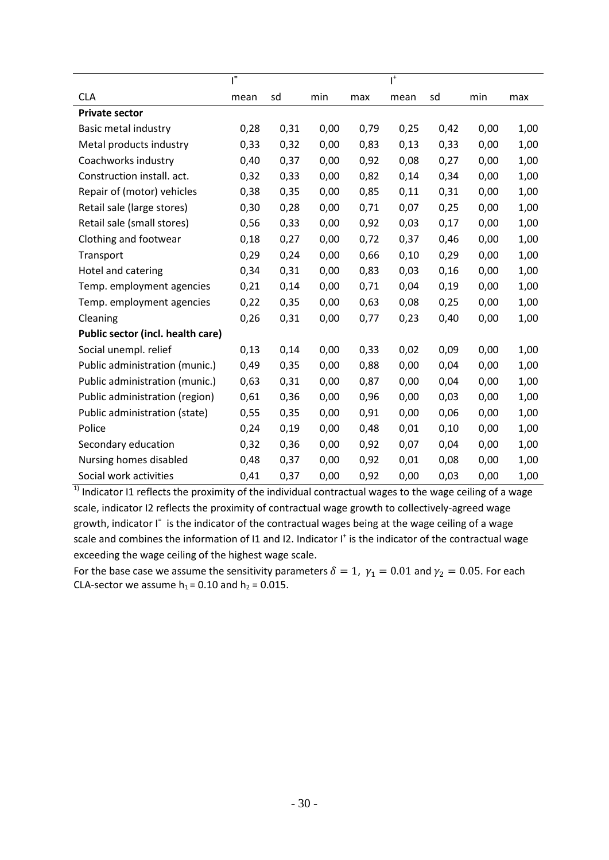|                                   | $\mathbf{I}^{\pm}$ |      |      |      | $\overline{\mathsf{I}^*}$ |      |      |      |
|-----------------------------------|--------------------|------|------|------|---------------------------|------|------|------|
| <b>CLA</b>                        | mean               | sd   | min  | max  | mean                      | sd   | min  | max  |
| <b>Private sector</b>             |                    |      |      |      |                           |      |      |      |
| Basic metal industry              | 0,28               | 0,31 | 0,00 | 0,79 | 0,25                      | 0,42 | 0,00 | 1,00 |
| Metal products industry           | 0,33               | 0,32 | 0,00 | 0,83 | 0,13                      | 0,33 | 0,00 | 1,00 |
| Coachworks industry               | 0,40               | 0,37 | 0,00 | 0,92 | 0,08                      | 0,27 | 0,00 | 1,00 |
| Construction install. act.        | 0,32               | 0,33 | 0,00 | 0,82 | 0,14                      | 0,34 | 0,00 | 1,00 |
| Repair of (motor) vehicles        | 0,38               | 0,35 | 0,00 | 0,85 | 0,11                      | 0,31 | 0,00 | 1,00 |
| Retail sale (large stores)        | 0,30               | 0,28 | 0,00 | 0,71 | 0,07                      | 0,25 | 0,00 | 1,00 |
| Retail sale (small stores)        | 0,56               | 0,33 | 0,00 | 0,92 | 0,03                      | 0,17 | 0,00 | 1,00 |
| Clothing and footwear             | 0,18               | 0,27 | 0,00 | 0,72 | 0,37                      | 0,46 | 0,00 | 1,00 |
| Transport                         | 0,29               | 0,24 | 0,00 | 0,66 | 0,10                      | 0,29 | 0,00 | 1,00 |
| Hotel and catering                | 0,34               | 0,31 | 0,00 | 0,83 | 0,03                      | 0,16 | 0,00 | 1,00 |
| Temp. employment agencies         | 0,21               | 0,14 | 0,00 | 0,71 | 0,04                      | 0,19 | 0,00 | 1,00 |
| Temp. employment agencies         | 0,22               | 0,35 | 0,00 | 0,63 | 0,08                      | 0,25 | 0,00 | 1,00 |
| Cleaning                          | 0,26               | 0,31 | 0,00 | 0,77 | 0,23                      | 0,40 | 0,00 | 1,00 |
| Public sector (incl. health care) |                    |      |      |      |                           |      |      |      |
| Social unempl. relief             | 0,13               | 0,14 | 0,00 | 0,33 | 0,02                      | 0,09 | 0,00 | 1,00 |
| Public administration (munic.)    | 0,49               | 0,35 | 0,00 | 0,88 | 0,00                      | 0,04 | 0,00 | 1,00 |
| Public administration (munic.)    | 0,63               | 0,31 | 0,00 | 0,87 | 0,00                      | 0,04 | 0,00 | 1,00 |
| Public administration (region)    | 0,61               | 0,36 | 0,00 | 0,96 | 0,00                      | 0,03 | 0,00 | 1,00 |
| Public administration (state)     | 0,55               | 0,35 | 0,00 | 0,91 | 0,00                      | 0,06 | 0,00 | 1,00 |
| Police                            | 0,24               | 0,19 | 0,00 | 0,48 | 0,01                      | 0,10 | 0,00 | 1,00 |
| Secondary education               | 0,32               | 0,36 | 0,00 | 0,92 | 0,07                      | 0,04 | 0,00 | 1,00 |
| Nursing homes disabled            | 0,48               | 0,37 | 0,00 | 0,92 | 0,01                      | 0,08 | 0,00 | 1,00 |
| Social work activities            | 0,41               | 0,37 | 0,00 | 0,92 | 0,00                      | 0,03 | 0,00 | 1,00 |

 $1)$  Indicator I1 reflects the proximity of the individual contractual wages to the wage ceiling of a wage scale, indicator I2 reflects the proximity of contractual wage growth to collectively-agreed wage growth, indicator I<sup>=</sup> is the indicator of the contractual wages being at the wage ceiling of a wage scale and combines the information of I1 and I2. Indicator I<sup>+</sup> is the indicator of the contractual wage exceeding the wage ceiling of the highest wage scale.

For the base case we assume the sensitivity parameters  $\delta = 1$ ,  $\gamma_1 = 0.01$  and  $\gamma_2 = 0.05$ . For each CLA-sector we assume  $h_1 = 0.10$  and  $h_2 = 0.015$ .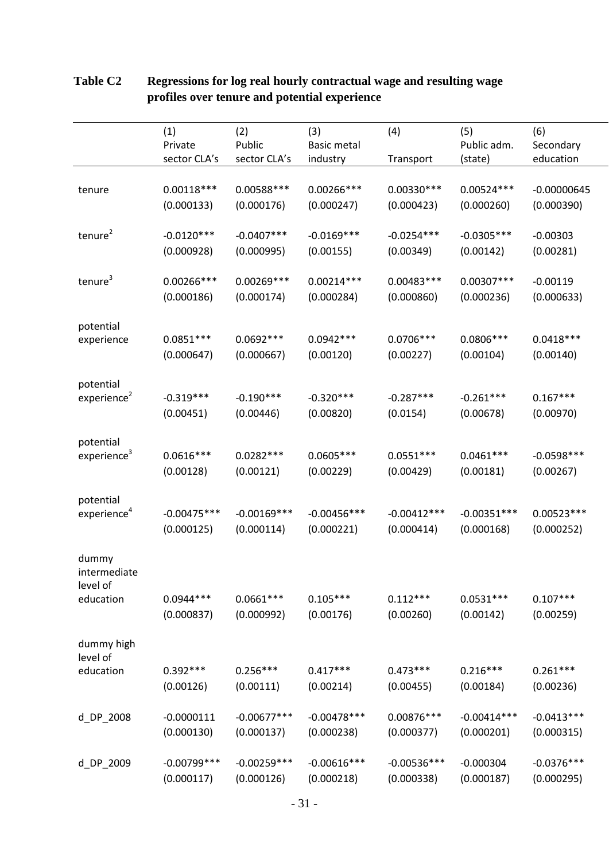|                                                | (1)<br>Private | (2)<br>Public | (3)<br><b>Basic metal</b> | (4)           | (5)<br>Public adm. | (6)<br>Secondary |
|------------------------------------------------|----------------|---------------|---------------------------|---------------|--------------------|------------------|
|                                                | sector CLA's   | sector CLA's  | industry                  | Transport     | (state)            | education        |
| tenure                                         | $0.00118***$   | 0.00588 ***   | $0.00266***$              | $0.00330***$  | $0.00524***$       | $-0.00000645$    |
|                                                | (0.000133)     | (0.000176)    | (0.000247)                | (0.000423)    | (0.000260)         | (0.000390)       |
| tenure <sup>2</sup>                            | $-0.0120***$   | $-0.0407***$  | $-0.0169***$              | $-0.0254***$  | $-0.0305***$       | $-0.00303$       |
|                                                | (0.000928)     | (0.000995)    | (0.00155)                 | (0.00349)     | (0.00142)          | (0.00281)        |
| tenure <sup>3</sup>                            | $0.00266***$   | $0.00269***$  | $0.00214***$              | $0.00483***$  | $0.00307***$       | $-0.00119$       |
|                                                | (0.000186)     | (0.000174)    | (0.000284)                | (0.000860)    | (0.000236)         | (0.000633)       |
| potential                                      | $0.0851***$    | $0.0692***$   | $0.0942***$               | $0.0706***$   | $0.0806***$        | $0.0418***$      |
| experience                                     | (0.000647)     | (0.000667)    | (0.00120)                 | (0.00227)     | (0.00104)          | (0.00140)        |
| potential                                      | $-0.319***$    | $-0.190***$   | $-0.320***$               | $-0.287***$   | $-0.261***$        | $0.167***$       |
| experience <sup>2</sup>                        | (0.00451)      | (0.00446)     | (0.00820)                 | (0.0154)      | (0.00678)          | (0.00970)        |
| potential                                      | $0.0616***$    | $0.0282***$   | $0.0605***$               | $0.0551***$   | $0.0461***$        | $-0.0598***$     |
| experience <sup>3</sup>                        | (0.00128)      | (0.00121)     | (0.00229)                 | (0.00429)     | (0.00181)          | (0.00267)        |
| potential                                      | $-0.00475***$  | $-0.00169***$ | $-0.00456***$             | $-0.00412***$ | $-0.00351***$      | $0.00523***$     |
| experience <sup>4</sup>                        | (0.000125)     | (0.000114)    | (0.000221)                | (0.000414)    | (0.000168)         | (0.000252)       |
| dummy<br>intermediate<br>level of<br>education | $0.0944***$    | $0.0661***$   | $0.105***$                | $0.112***$    | $0.0531***$        | $0.107***$       |
| dummy high                                     | (0.000837)     | (0.000992)    | (0.00176)                 | (0.00260)     | (0.00142)          | (0.00259)        |
| level of                                       | $0.392***$     | $0.256***$    | $0.417***$                | $0.473***$    | $0.216***$         | $0.261***$       |
| education                                      | (0.00126)      | (0.00111)     | (0.00214)                 | (0.00455)     | (0.00184)          | (0.00236)        |
| d_DP_2008                                      | $-0.0000111$   | $-0.00677***$ | $-0.00478$ ***            | $0.00876***$  | $-0.00414***$      | $-0.0413***$     |
|                                                | (0.000130)     | (0.000137)    | (0.000238)                | (0.000377)    | (0.000201)         | (0.000315)       |
| d_DP_2009                                      | $-0.00799$ *** | $-0.00259***$ | $-0.00616***$             | $-0.00536***$ | $-0.000304$        | $-0.0376***$     |
|                                                | (0.000117)     | (0.000126)    | (0.000218)                | (0.000338)    | (0.000187)         | (0.000295)       |

# **Table C2 Regressions for log real hourly contractual wage and resulting wage profiles over tenure and potential experience**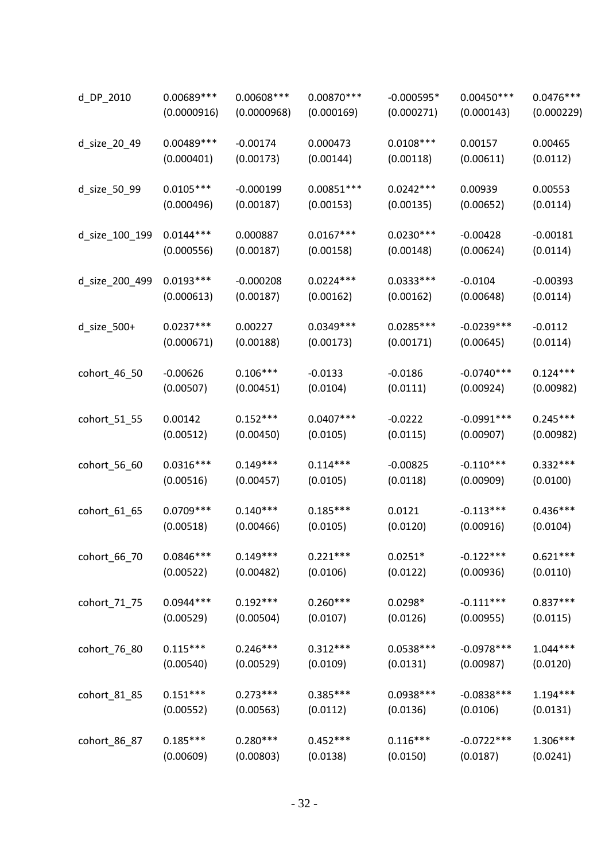| d_DP_2010      | 0.00689 *** | 0.00608 *** | $0.00870***$ | $-0.000595*$ | $0.00450***$ | $0.0476***$ |
|----------------|-------------|-------------|--------------|--------------|--------------|-------------|
|                | (0.0000916) | (0.0000968) | (0.000169)   | (0.000271)   | (0.000143)   | (0.000229)  |
| d_size_20_49   | 0.00489 *** | $-0.00174$  | 0.000473     | $0.0108***$  | 0.00157      | 0.00465     |
|                | (0.000401)  | (0.00173)   | (0.00144)    | (0.00118)    | (0.00611)    | (0.0112)    |
| d_size_50_99   | $0.0105***$ | $-0.000199$ | $0.00851***$ | $0.0242***$  | 0.00939      | 0.00553     |
|                | (0.000496)  | (0.00187)   | (0.00153)    | (0.00135)    | (0.00652)    | (0.0114)    |
| d_size_100_199 | $0.0144***$ | 0.000887    | $0.0167***$  | $0.0230***$  | $-0.00428$   | $-0.00181$  |
|                | (0.000556)  | (0.00187)   | (0.00158)    | (0.00148)    | (0.00624)    | (0.0114)    |
| d_size_200_499 | $0.0193***$ | $-0.000208$ | $0.0224***$  | $0.0333***$  | $-0.0104$    | $-0.00393$  |
|                | (0.000613)  | (0.00187)   | (0.00162)    | (0.00162)    | (0.00648)    | (0.0114)    |
| $d$ _size_500+ | $0.0237***$ | 0.00227     | $0.0349***$  | $0.0285***$  | $-0.0239***$ | $-0.0112$   |
|                | (0.000671)  | (0.00188)   | (0.00173)    | (0.00171)    | (0.00645)    | (0.0114)    |
| cohort_46_50   | $-0.00626$  | $0.106***$  | $-0.0133$    | $-0.0186$    | $-0.0740***$ | $0.124***$  |
|                | (0.00507)   | (0.00451)   | (0.0104)     | (0.0111)     | (0.00924)    | (0.00982)   |
| cohort_51_55   | 0.00142     | $0.152***$  | $0.0407***$  | $-0.0222$    | $-0.0991***$ | $0.245***$  |
|                | (0.00512)   | (0.00450)   | (0.0105)     | (0.0115)     | (0.00907)    | (0.00982)   |
| cohort_56_60   | $0.0316***$ | $0.149***$  | $0.114***$   | $-0.00825$   | $-0.110***$  | $0.332***$  |
|                | (0.00516)   | (0.00457)   | (0.0105)     | (0.0118)     | (0.00909)    | (0.0100)    |
| cohort_61_65   | $0.0709***$ | $0.140***$  | $0.185***$   | 0.0121       | $-0.113***$  | $0.436***$  |
|                | (0.00518)   | (0.00466)   | (0.0105)     | (0.0120)     | (0.00916)    | (0.0104)    |
| cohort_66_70   | $0.0846***$ | $0.149***$  | $0.221***$   | $0.0251*$    | $-0.122***$  | $0.621***$  |
|                | (0.00522)   | (0.00482)   | (0.0106)     | (0.0122)     | (0.00936)    | (0.0110)    |
| cohort_71_75   | $0.0944***$ | $0.192***$  | $0.260***$   | $0.0298*$    | $-0.111***$  | $0.837***$  |
|                | (0.00529)   | (0.00504)   | (0.0107)     | (0.0126)     | (0.00955)    | (0.0115)    |
| cohort_76_80   | $0.115***$  | $0.246***$  | $0.312***$   | $0.0538***$  | $-0.0978***$ | $1.044***$  |
|                | (0.00540)   | (0.00529)   | (0.0109)     | (0.0131)     | (0.00987)    | (0.0120)    |
| cohort_81_85   | $0.151***$  | $0.273***$  | $0.385***$   | $0.0938***$  | $-0.0838***$ | $1.194***$  |
|                | (0.00552)   | (0.00563)   | (0.0112)     | (0.0136)     | (0.0106)     | (0.0131)    |
| cohort_86_87   | $0.185***$  | $0.280***$  | $0.452***$   | $0.116***$   | $-0.0722***$ | 1.306***    |
|                | (0.00609)   | (0.00803)   | (0.0138)     | (0.0150)     | (0.0187)     | (0.0241)    |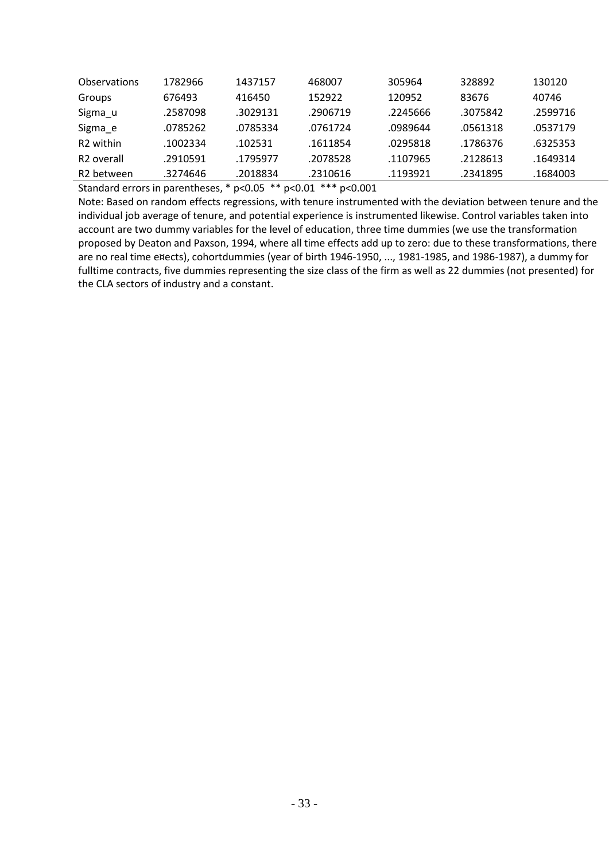| <b>Observations</b>    | 1782966  | 1437157  | 468007   | 305964   | 328892   | 130120   |
|------------------------|----------|----------|----------|----------|----------|----------|
| Groups                 | 676493   | 416450   | 152922   | 120952   | 83676    | 40746    |
| Sigma_u                | .2587098 | .3029131 | .2906719 | .2245666 | .3075842 | .2599716 |
| Sigma_e                | .0785262 | .0785334 | .0761724 | .0989644 | .0561318 | .0537179 |
| R <sub>2</sub> within  | .1002334 | .102531  | .1611854 | .0295818 | .1786376 | .6325353 |
| R <sub>2</sub> overall | .2910591 | .1795977 | .2078528 | .1107965 | .2128613 | .1649314 |
| R2 between             | .3274646 | .2018834 | .2310616 | .1193921 | .2341895 | .1684003 |

Standard errors in parentheses, \* p<0.05 \*\* p<0.01 \*\*\* p<0.001

Note: Based on random effects regressions, with tenure instrumented with the deviation between tenure and the individual job average of tenure, and potential experience is instrumented likewise. Control variables taken into account are two dummy variables for the level of education, three time dummies (we use the transformation proposed by Deaton and Paxson, 1994, where all time effects add up to zero: due to these transformations, there are no real time e¤ects), cohortdummies (year of birth 1946-1950, ..., 1981-1985, and 1986-1987), a dummy for fulltime contracts, five dummies representing the size class of the firm as well as 22 dummies (not presented) for the CLA sectors of industry and a constant.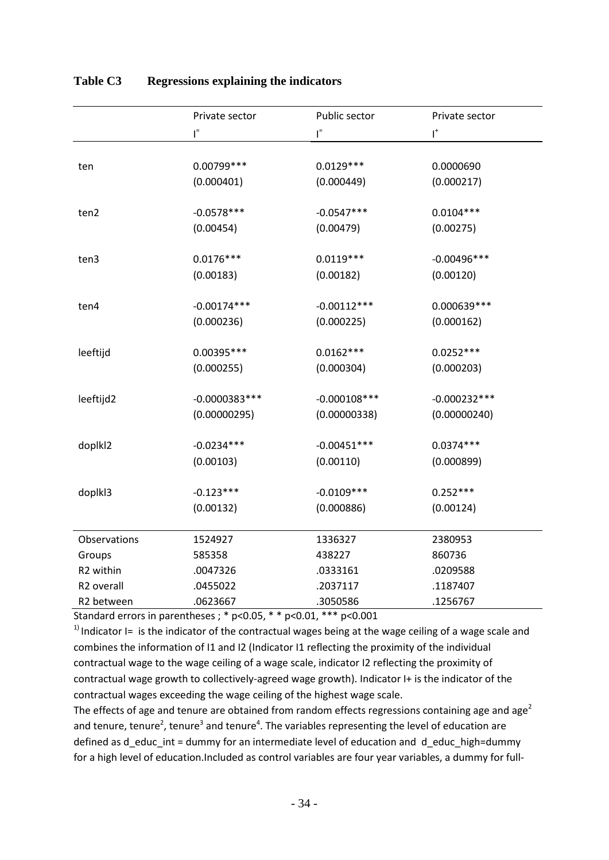|              | Private sector         | Public sector      | Private sector |
|--------------|------------------------|--------------------|----------------|
|              | $\mathbf{I}^{\dagger}$ | $\mathbf{I}^{\pm}$ | $I^+$          |
|              |                        |                    |                |
| ten          | 0.00799 ***            | $0.0129***$        | 0.0000690      |
|              | (0.000401)             | (0.000449)         | (0.000217)     |
|              |                        |                    |                |
| ten2         | $-0.0578***$           | $-0.0547***$       | $0.0104***$    |
|              | (0.00454)              | (0.00479)          | (0.00275)      |
|              |                        |                    |                |
| ten3         | $0.0176***$            | $0.0119***$        | $-0.00496***$  |
|              | (0.00183)              | (0.00182)          | (0.00120)      |
|              |                        |                    |                |
| ten4         | $-0.00174***$          | $-0.00112***$      | 0.000639 ***   |
|              | (0.000236)             | (0.000225)         | (0.000162)     |
|              |                        |                    |                |
| leeftijd     | 0.00395 ***            | $0.0162***$        | $0.0252***$    |
|              | (0.000255)             | (0.000304)         | (0.000203)     |
|              |                        |                    |                |
| leeftijd2    | $-0.0000383***$        | $-0.000108***$     | $-0.000232***$ |
|              | (0.00000295)           | (0.00000338)       | (0.00000240)   |
|              |                        |                    |                |
| doplkl2      | $-0.0234***$           | $-0.00451***$      | $0.0374***$    |
|              | (0.00103)              | (0.00110)          | (0.000899)     |
|              |                        |                    |                |
| doplkl3      | $-0.123***$            | $-0.0109***$       | $0.252***$     |
|              | (0.00132)              | (0.000886)         | (0.00124)      |
|              |                        |                    |                |
| Observations | 1524927                | 1336327            | 2380953        |
| Groups       | 585358                 | 438227             | 860736         |
| R2 within    | .0047326               | .0333161           | .0209588       |
| R2 overall   | .0455022               | .2037117           | .1187407       |
| R2 between   | .0623667               | .3050586           | .1256767       |

# **Table C3 Regressions explaining the indicators**

Standard errors in parentheses ; \* p<0.05, \* \* p<0.01, \*\*\* p<0.001

 $1)$  Indicator I= is the indicator of the contractual wages being at the wage ceiling of a wage scale and combines the information of I1 and I2 (Indicator I1 reflecting the proximity of the individual contractual wage to the wage ceiling of a wage scale, indicator I2 reflecting the proximity of contractual wage growth to collectively-agreed wage growth). Indicator I+ is the indicator of the contractual wages exceeding the wage ceiling of the highest wage scale.

The effects of age and tenure are obtained from random effects regressions containing age and age<sup>2</sup> and tenure, tenure<sup>2</sup>, tenure<sup>3</sup> and tenure<sup>4</sup>. The variables representing the level of education are defined as d\_educ\_int = dummy for an intermediate level of education and d\_educ\_high=dummy for a high level of education.Included as control variables are four year variables, a dummy for full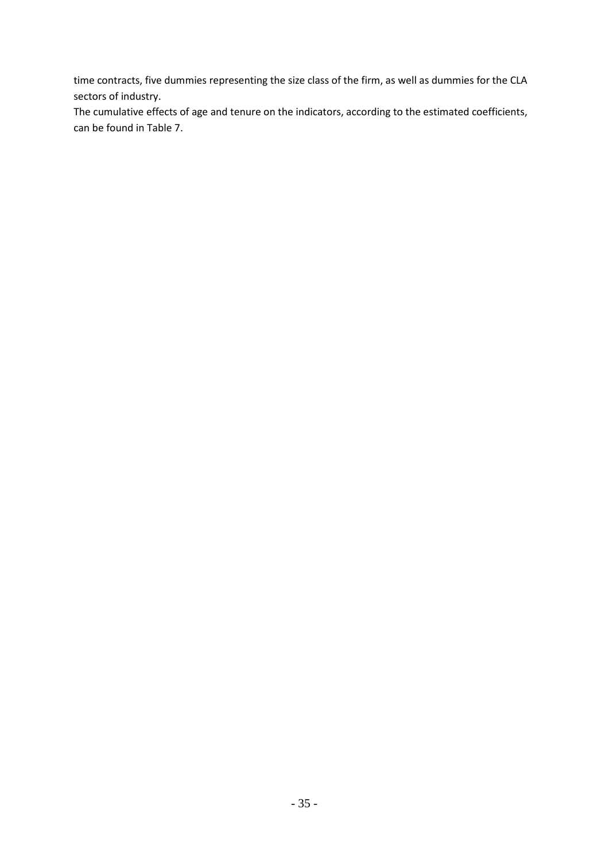time contracts, five dummies representing the size class of the firm, as well as dummies for the CLA sectors of industry.

The cumulative effects of age and tenure on the indicators, according to the estimated coefficients, can be found in Table 7.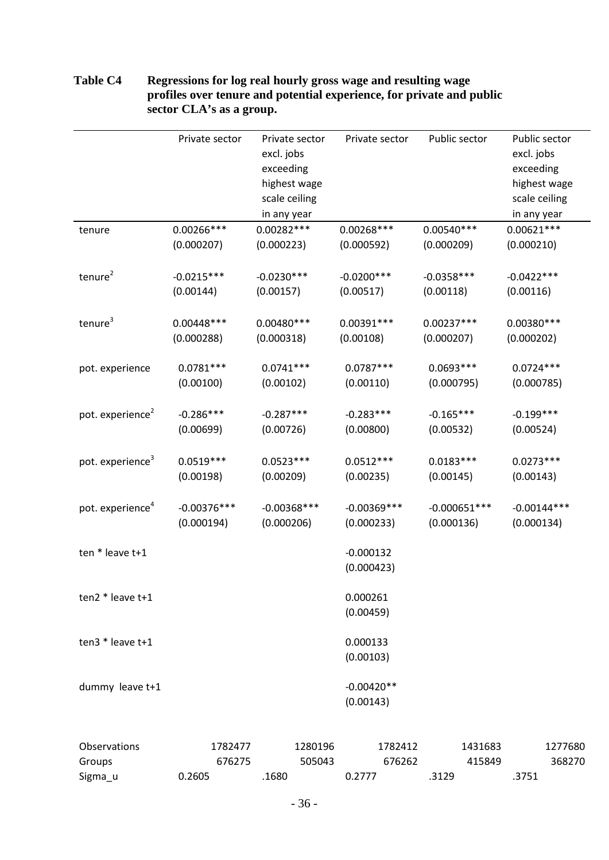|                              | Private sector | Private sector | Private sector | Public sector  | Public sector |
|------------------------------|----------------|----------------|----------------|----------------|---------------|
|                              |                | excl. jobs     |                |                | excl. jobs    |
|                              |                | exceeding      |                |                | exceeding     |
|                              |                | highest wage   |                |                | highest wage  |
|                              |                | scale ceiling  |                |                | scale ceiling |
|                              |                | in any year    |                |                | in any year   |
| tenure                       | $0.00266***$   | $0.00282***$   | $0.00268***$   | $0.00540***$   | $0.00621***$  |
|                              | (0.000207)     | (0.000223)     | (0.000592)     | (0.000209)     | (0.000210)    |
| tenure <sup>2</sup>          | $-0.0215***$   | $-0.0230***$   | $-0.0200$ ***  | $-0.0358***$   | $-0.0422***$  |
|                              | (0.00144)      | (0.00157)      | (0.00517)      | (0.00118)      | (0.00116)     |
| tenure <sup>3</sup>          | $0.00448***$   | $0.00480***$   | $0.00391***$   | $0.00237***$   | $0.00380***$  |
|                              | (0.000288)     | (0.000318)     | (0.00108)      | (0.000207)     | (0.000202)    |
| pot. experience              | $0.0781***$    | $0.0741***$    | $0.0787***$    | $0.0693***$    | $0.0724***$   |
|                              | (0.00100)      | (0.00102)      | (0.00110)      | (0.000795)     | (0.000785)    |
| pot. experience <sup>2</sup> | $-0.286***$    | $-0.287***$    | $-0.283***$    | $-0.165***$    | $-0.199***$   |
|                              | (0.00699)      | (0.00726)      | (0.00800)      | (0.00532)      | (0.00524)     |
| pot. experience <sup>3</sup> | $0.0519***$    | $0.0523***$    | $0.0512***$    | $0.0183***$    | $0.0273***$   |
|                              | (0.00198)      | (0.00209)      | (0.00235)      | (0.00145)      | (0.00143)     |
| pot. experience <sup>4</sup> | $-0.00376***$  | $-0.00368***$  | $-0.00369***$  | $-0.000651***$ | $-0.00144***$ |
|                              | (0.000194)     | (0.000206)     | (0.000233)     | (0.000136)     | (0.000134)    |
| ten * leave t+1              |                |                | $-0.000132$    |                |               |
|                              |                |                | (0.000423)     |                |               |
| ten2 * leave t+1             |                |                | 0.000261       |                |               |
|                              |                |                | (0.00459)      |                |               |
| ten3 * leave t+1             |                |                | 0.000133       |                |               |
|                              |                |                | (0.00103)      |                |               |
| dummy leave t+1              |                |                | $-0.00420**$   |                |               |
|                              |                |                | (0.00143)      |                |               |
| Observations                 | 1782477        | 1280196        | 1782412        | 1431683        | 1277680       |
| Groups                       | 676275         | 505043         | 676262         | 415849         | 368270        |

# **Table C4 Regressions for log real hourly gross wage and resulting wage profiles over tenure and potential experience, for private and public sector CLA's as a group.**

Sigma\_u 0.2605 .1680 0.2777 .3129 .3751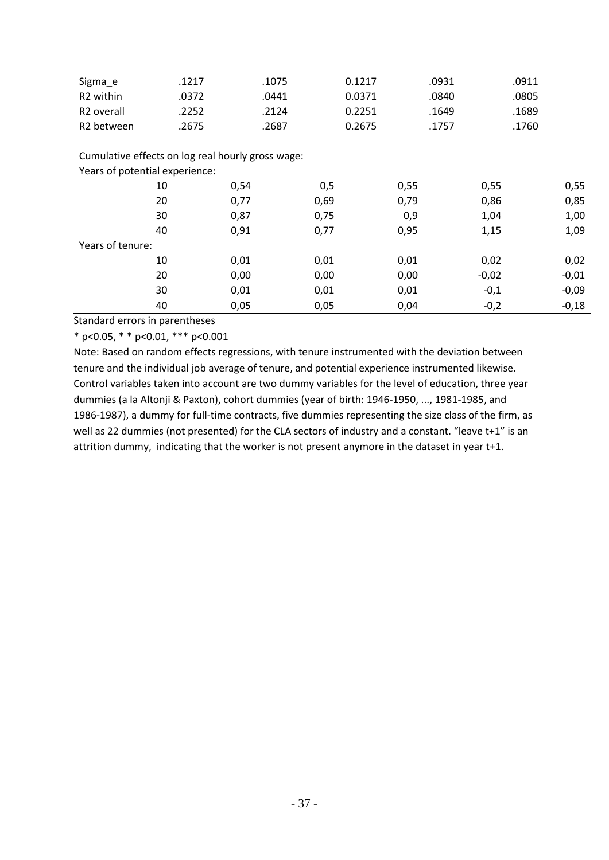| Sigma_e<br>R <sub>2</sub> within<br>R <sub>2</sub> overall<br>R <sub>2</sub> between | .1217<br>.0372<br>.2252<br>.2675 | .1075<br>.0441<br>.2124<br>.2687 |      | 0.1217<br>0.0371<br>0.2251<br>0.2675 | .0931<br>.0840<br>.1649<br>.1757 |         | .0911<br>.0805<br>.1689<br>.1760 |  |
|--------------------------------------------------------------------------------------|----------------------------------|----------------------------------|------|--------------------------------------|----------------------------------|---------|----------------------------------|--|
| Cumulative effects on log real hourly gross wage:                                    |                                  |                                  |      |                                      |                                  |         |                                  |  |
| Years of potential experience:                                                       |                                  |                                  |      |                                      |                                  |         |                                  |  |
|                                                                                      | 10                               | 0,54                             | 0,5  |                                      | 0,55                             | 0,55    | 0,55                             |  |
|                                                                                      | 20                               | 0,77                             | 0,69 |                                      | 0,79                             | 0,86    | 0,85                             |  |
|                                                                                      | 30                               | 0,87                             | 0,75 |                                      | 0,9                              | 1,04    | 1,00                             |  |
|                                                                                      | 40                               | 0,91                             | 0,77 |                                      | 0,95                             | 1,15    | 1,09                             |  |
| Years of tenure:                                                                     |                                  |                                  |      |                                      |                                  |         |                                  |  |
|                                                                                      | 10                               | 0,01                             | 0,01 |                                      | 0,01                             | 0,02    | 0,02                             |  |
|                                                                                      | 20                               | 0,00                             | 0,00 |                                      | 0,00                             | $-0,02$ | $-0,01$                          |  |
|                                                                                      | 30                               | 0,01                             | 0,01 |                                      | 0,01                             | $-0,1$  | $-0,09$                          |  |
|                                                                                      | 40                               | 0,05                             | 0,05 |                                      | 0,04                             | $-0,2$  | $-0,18$                          |  |

Standard errors in parentheses

\* p<0.05, \* \* p<0.01, \*\*\* p<0.001

<span id="page-38-0"></span>Note: Based on random effects regressions, with tenure instrumented with the deviation between tenure and the individual job average of tenure, and potential experience instrumented likewise. Control variables taken into account are two dummy variables for the level of education, three year dummies (a la Altonji & Paxton), cohort dummies (year of birth: 1946-1950, ..., 1981-1985, and 1986-1987), a dummy for full-time contracts, five dummies representing the size class of the firm, as well as 22 dummies (not presented) for the CLA sectors of industry and a constant. "leave t+1" is an attrition dummy, indicating that the worker is not present anymore in the dataset in year t+1.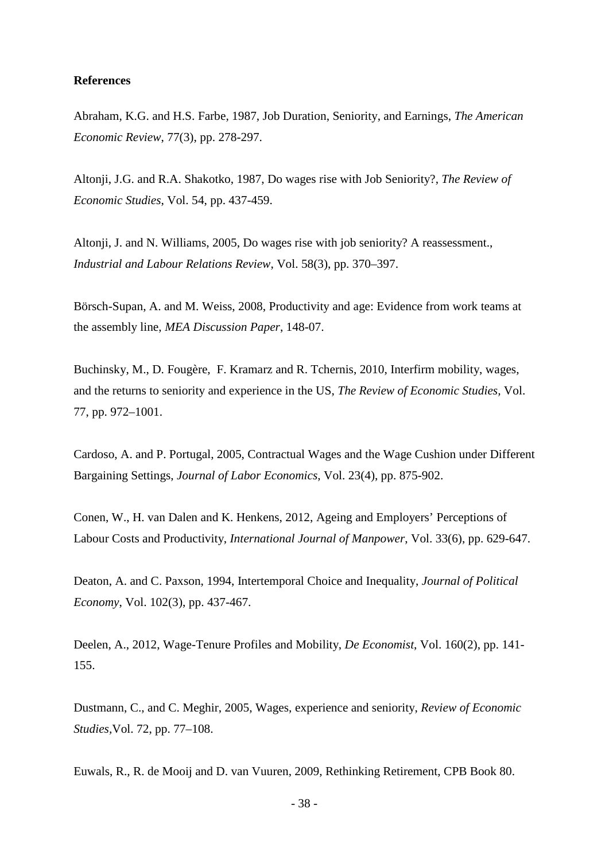#### **References**

Abraham, K.G. and H.S. Farbe, 1987, Job Duration, Seniority, and Earnings, *The American Economic Review*, 77(3), pp. 278-297.

Altonji, J.G. and R.A. Shakotko, 1987, Do wages rise with Job Seniority?, *The Review of Economic Studies*, Vol. 54, pp. 437-459.

Altonji, J. and N. Williams, 2005, Do wages rise with job seniority? A reassessment., *Industrial and Labour Relations Review*, Vol. 58(3), pp. 370–397.

Börsch-Supan, A. and M. Weiss, 2008, Productivity and age: Evidence from work teams at the assembly line, *MEA Discussion Paper*, 148-07.

Buchinsky, M., D. Fougère, F. Kramarz and R. Tchernis, 2010, Interfirm mobility, wages, and the returns to seniority and experience in the US, *The Review of Economic Studies,* Vol. 77, pp. 972–1001.

Cardoso, A. and P. Portugal, 2005, Contractual Wages and the Wage Cushion under Different Bargaining Settings, *Journal of Labor Economics*, Vol. 23(4), pp. 875-902.

Conen, W., H. van Dalen and K. Henkens, 2012, Ageing and Employers' Perceptions of Labour Costs and Productivity, *International Journal of Manpower*, Vol. 33(6), pp. 629-647.

Deaton, A. and C. Paxson, 1994, Intertemporal Choice and Inequality, *Journal of Political Economy*, Vol. 102(3), pp. 437-467.

Deelen, A., 2012, Wage-Tenure Profiles and Mobility, *De Economist*, Vol. 160(2), pp. 141- 155.

Dustmann, C., and C. Meghir, 2005, Wages, experience and seniority, *Review of Economic Studies,*Vol. 72, pp. 77–108.

Euwals, R., R. de Mooij and D. van Vuuren, 2009, Rethinking Retirement, CPB Book 80.